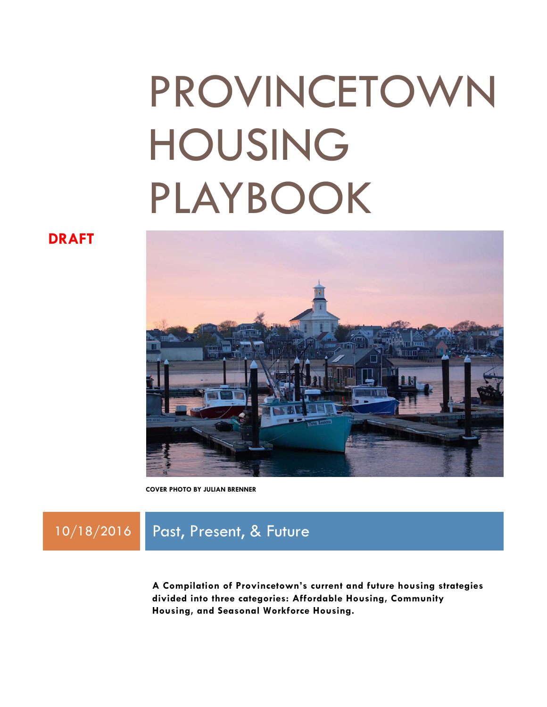# PROVINCETOWN HOUSING PLAYBOOK

**DRAFT**



**COVER PHOTO BY JULIAN BRENNER** 

### 10/18/2016 **Past, Present, & Future**

**A Compilation of Provincetown's current and future housing strategies divided into three categories: Affordable Housing, Community Housing, and Seasonal Workforce Housing.**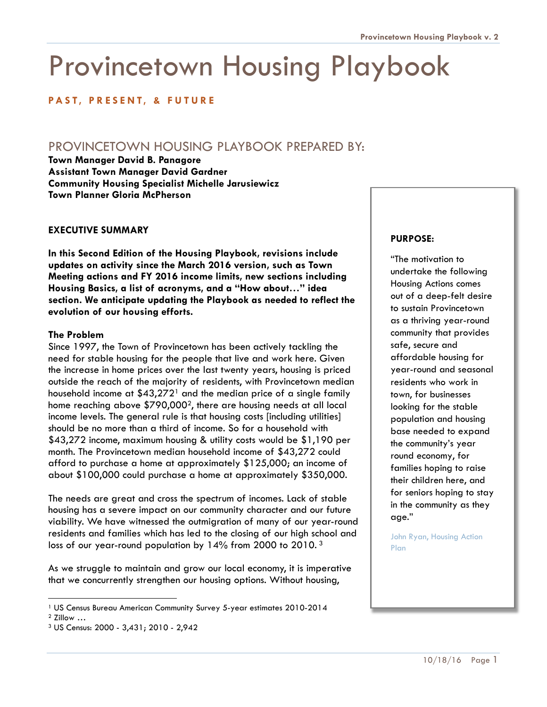## Provincetown Housing Playbook

### **PAST, PRESENT, & FUTURE**

### PROVINCETOWN HOUSING PLAYBOOK PREPARED BY:

**Town Manager David B. Panagore Assistant Town Manager David Gardner Community Housing Specialist Michelle Jarusiewicz Town Planner Gloria McPherson** 

### **EXECUTIVE SUMMARY**

**In this Second Edition of the Housing Playbook, revisions include updates on activity since the March 2016 version, such as Town Meeting actions and FY 2016 income limits, new sections including Housing Basics, a list of acronyms, and a "How about…" idea section. We anticipate updating the Playbook as needed to reflect the evolution of our housing efforts.** 

### **The Problem**

Since 1997, the Town of Provincetown has been actively tackling the need for stable housing for the people that live and work here. Given the increase in home prices over the last twenty years, housing is priced outside the reach of the majority of residents, with Provincetown median household income at  $$43,272$ <sup>1</sup> and the median price of a single family home reaching above \$790,0002, there are housing needs at all local income levels. The general rule is that housing costs [including utilities] should be no more than a third of income. So for a household with \$43,272 income, maximum housing & utility costs would be \$1,190 per month. The Provincetown median household income of \$43,272 could afford to purchase a home at approximately \$125,000; an income of about \$100,000 could purchase a home at approximately \$350,000.

The needs are great and cross the spectrum of incomes. Lack of stable housing has a severe impact on our community character and our future viability. We have witnessed the outmigration of many of our year-round residents and families which has led to the closing of our high school and loss of our year-round population by 14% from 2000 to 2010. 3

As we struggle to maintain and grow our local economy, it is imperative that we concurrently strengthen our housing options. Without housing,

l

### **PURPOSE:**

"The motivation to undertake the following Housing Actions comes out of a deep-felt desire to sustain Provincetown as a thriving year-round community that provides safe, secure and affordable housing for year-round and seasonal residents who work in town, for businesses looking for the stable population and housing base needed to expand the community's year round economy, for families hoping to raise their children here, and for seniors hoping to stay in the community as they age."

John Ryan, Housing Action Plan

<sup>1</sup> US Census Bureau American Community Survey 5-year estimates 2010-2014

<sup>2</sup> Zillow …

<sup>3</sup> US Census: 2000 - 3,431; 2010 - 2,942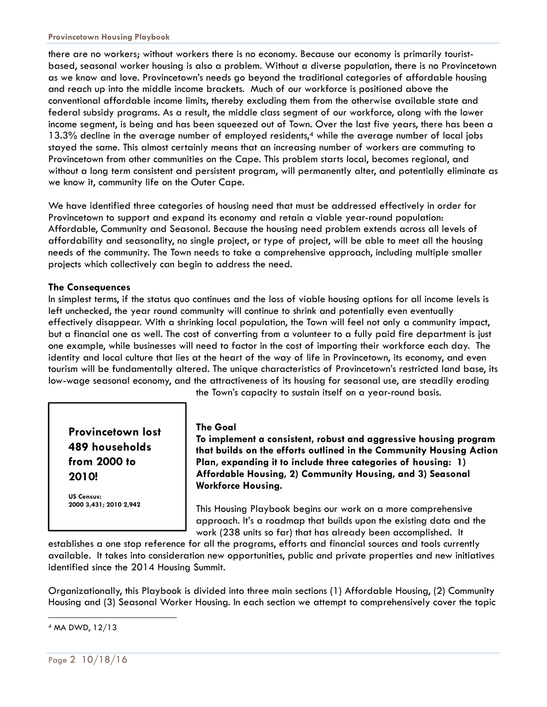there are no workers; without workers there is no economy. Because our economy is primarily touristbased, seasonal worker housing is also a problem. Without a diverse population, there is no Provincetown as we know and love. Provincetown's needs go beyond the traditional categories of affordable housing and reach up into the middle income brackets. Much of our workforce is positioned above the conventional affordable income limits, thereby excluding them from the otherwise available state and federal subsidy programs. As a result, the middle class segment of our workforce, along with the lower income segment, is being and has been squeezed out of Town. Over the last five years, there has been a 13.3% decline in the average number of employed residents,<sup>4</sup> while the average number of local jobs stayed the same. This almost certainly means that an increasing number of workers are commuting to Provincetown from other communities on the Cape. This problem starts local, becomes regional, and without a long term consistent and persistent program, will permanently alter, and potentially eliminate as we know it, community life on the Outer Cape.

We have identified three categories of housing need that must be addressed effectively in order for Provincetown to support and expand its economy and retain a viable year-round population: Affordable, Community and Seasonal. Because the housing need problem extends across all levels of affordability and seasonality, no single project, or type of project, will be able to meet all the housing needs of the community. The Town needs to take a comprehensive approach, including multiple smaller projects which collectively can begin to address the need.

### **The Consequences**

In simplest terms, if the status quo continues and the loss of viable housing options for all income levels is left unchecked, the year round community will continue to shrink and potentially even eventually effectively disappear. With a shrinking local population, the Town will feel not only a community impact, but a financial one as well. The cost of converting from a volunteer to a fully paid fire department is just one example, while businesses will need to factor in the cost of importing their workforce each day. The identity and local culture that lies at the heart of the way of life in Provincetown, its economy, and even tourism will be fundamentally altered. The unique characteristics of Provincetown's restricted land base, its low-wage seasonal economy, and the attractiveness of its housing for seasonal use, are steadily eroding

**Provincetown lost 489 households from 2000 to 2010!** 

**US Census: 2000 3,431; 2010 2,942** 

### **The Goal**

**To implement a consistent, robust and aggressive housing program that builds on the efforts outlined in the Community Housing Action Plan, expanding it to include three categories of housing: 1) Affordable Housing, 2) Community Housing, and 3) Seasonal Workforce Housing.** 

the Town's capacity to sustain itself on a year-round basis.

This Housing Playbook begins our work on a more comprehensive approach. It's a roadmap that builds upon the existing data and the work (238 units so far) that has already been accomplished. It

establishes a one stop reference for all the programs, efforts and financial sources and tools currently available. It takes into consideration new opportunities, public and private properties and new initiatives identified since the 2014 Housing Summit.

Organizationally, this Playbook is divided into three main sections (1) Affordable Housing, (2) Community Housing and (3) Seasonal Worker Housing. In each section we attempt to comprehensively cover the topic

 4 MA DWD, 12/13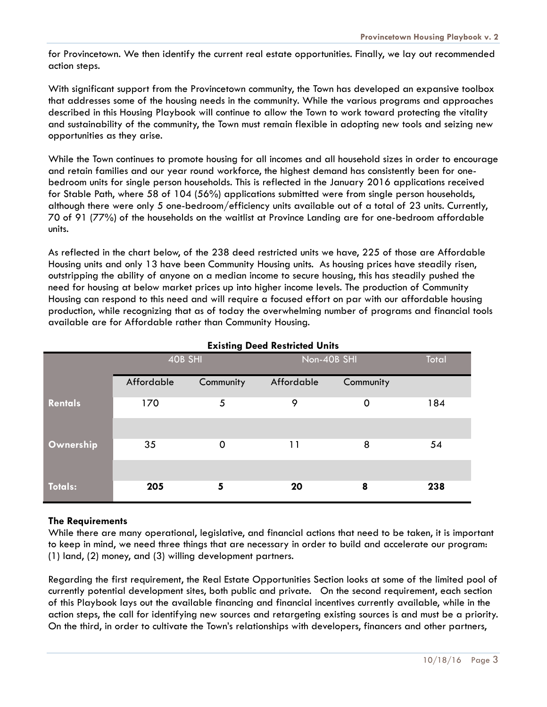for Provincetown. We then identify the current real estate opportunities. Finally, we lay out recommended action steps.

With significant support from the Provincetown community, the Town has developed an expansive toolbox that addresses some of the housing needs in the community. While the various programs and approaches described in this Housing Playbook will continue to allow the Town to work toward protecting the vitality and sustainability of the community, the Town must remain flexible in adopting new tools and seizing new opportunities as they arise.

While the Town continues to promote housing for all incomes and all household sizes in order to encourage and retain families and our year round workforce, the highest demand has consistently been for onebedroom units for single person households. This is reflected in the January 2016 applications received for Stable Path, where 58 of 104 (56%) applications submitted were from single person households, although there were only 5 one-bedroom/efficiency units available out of a total of 23 units. Currently, 70 of 91 (77%) of the households on the waitlist at Province Landing are for one-bedroom affordable units.

As reflected in the chart below, of the 238 deed restricted units we have, 225 of those are Affordable Housing units and only 13 have been Community Housing units. As housing prices have steadily risen, outstripping the ability of anyone on a median income to secure housing, this has steadily pushed the need for housing at below market prices up into higher income levels. The production of Community Housing can respond to this need and will require a focused effort on par with our affordable housing production, while recognizing that as of today the overwhelming number of programs and financial tools available are for Affordable rather than Community Housing.

|                | $\frac{1}{2}$ |           |             |           |       |  |  |
|----------------|---------------|-----------|-------------|-----------|-------|--|--|
|                | 40B SHI       |           | Non-40B SHI |           | Total |  |  |
|                | Affordable    | Community | Affordable  | Community |       |  |  |
| <b>Rentals</b> | 170           | 5         | 9           | 0         | 184   |  |  |
|                |               |           |             |           |       |  |  |
| Ownership      | 35            | 0         | 11          | 8         | 54    |  |  |
|                |               |           |             |           |       |  |  |
| <b>Totals:</b> | 205           | 5         | 20          | 8         | 238   |  |  |

### **Existing Deed Restricted Units**

### **The Requirements**

While there are many operational, legislative, and financial actions that need to be taken, it is important to keep in mind, we need three things that are necessary in order to build and accelerate our program: (1) land, (2) money, and (3) willing development partners.

Regarding the first requirement, the Real Estate Opportunities Section looks at some of the limited pool of currently potential development sites, both public and private. On the second requirement, each section of this Playbook lays out the available financing and financial incentives currently available, while in the action steps, the call for identifying new sources and retargeting existing sources is and must be a priority. On the third, in order to cultivate the Town's relationships with developers, financers and other partners,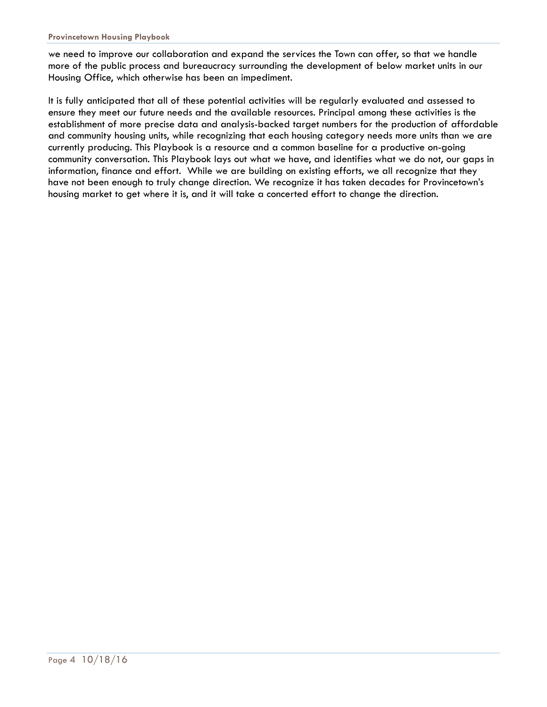we need to improve our collaboration and expand the services the Town can offer, so that we handle more of the public process and bureaucracy surrounding the development of below market units in our Housing Office, which otherwise has been an impediment.

It is fully anticipated that all of these potential activities will be regularly evaluated and assessed to ensure they meet our future needs and the available resources. Principal among these activities is the establishment of more precise data and analysis-backed target numbers for the production of affordable and community housing units, while recognizing that each housing category needs more units than we are currently producing. This Playbook is a resource and a common baseline for a productive on-going community conversation. This Playbook lays out what we have, and identifies what we do not, our gaps in information, finance and effort. While we are building on existing efforts, we all recognize that they have not been enough to truly change direction. We recognize it has taken decades for Provincetown's housing market to get where it is, and it will take a concerted effort to change the direction.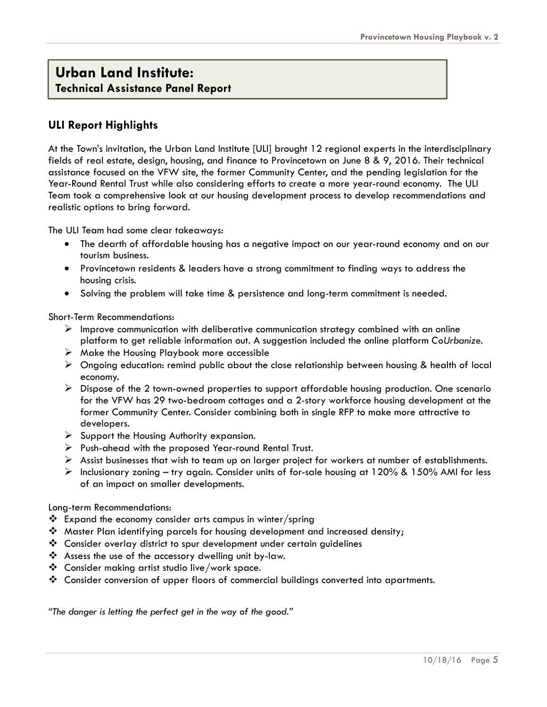### **Urban Land Institute: Technical Assistance Panel Report**

### **ULI Report Highlights**

At the Town's invitation, the Urban Land Institute [ULI] brought 12 regional experts in the interdisciplinary fields of real estate, design, housing, and finance to Provincetown on June 8 & 9, 2016. Their technical assistance focused on the VFW site, the former Community Center, and the pending legislation for the Year-Round Rental Trust while also considering efforts to create a more year-round economy. The ULI Team took a comprehensive look at our housing development process to develop recommendations and realistic options to bring forward.

The ULI Team had some clear takeaways:

- The dearth of affordable housing has a negative impact on our year-round economy and on our tourism business.
- Provincetown residents & leaders have a strong commitment to finding ways to address the housing crisis.
- Solving the problem will take time & persistence and long-term commitment is needed.

Short-Term Recommendations:

- $\triangleright$  Improve communication with deliberative communication strategy combined with an online platform to get reliable information out. A suggestion included the online platform *CoUrbanize*.
- $\triangleright$  Make the Housing Playbook more accessible
- $\triangleright$  Ongoing education: remind public about the close relationship between housing & health of local economy.
- $\triangleright$  Dispose of the 2 town-owned properties to support affordable housing production. One scenario for the VFW has 29 two-bedroom cottages and a 2-story workforce housing development at the former Community Center. Consider combining both in single RFP to make more attractive to developers.
- $\triangleright$  Support the Housing Authority expansion.
- $\triangleright$  Push-ahead with the proposed Year-round Rental Trust.
- $\triangleright$  Assist businesses that wish to team up on larger project for workers at number of establishments.
- $\triangleright$  Inclusionary zoning try again. Consider units of for-sale housing at 120% & 150% AMI for less of an impact on smaller developments.

#### Long-term Recommendations:

- $\cdot \cdot$  Expand the economy consider arts campus in winter/spring
- Master Plan identifying parcels for housing development and increased density;
- Consider overlay district to spur development under certain guidelines
- Assess the use of the accessory dwelling unit by-law.
- Consider making artist studio live/work space.
- Consider conversion of upper floors of commercial buildings converted into apartments.

*"The danger is letting the perfect get in the way of the good."*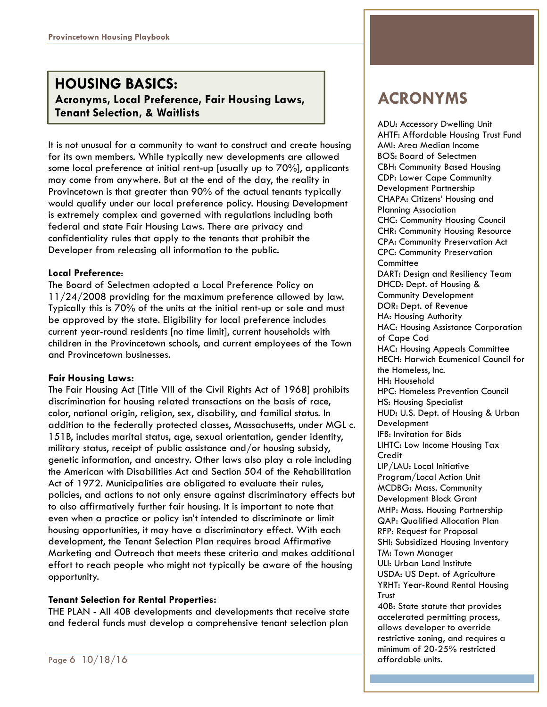### **HOUSING BASICS: Acronyms, Local Preference, Fair Housing Laws, Tenant Selection, & Waitlists**

It is not unusual for a community to want to construct and create housing for its own members. While typically new developments are allowed some local preference at initial rent-up [usually up to 70%], applicants may come from anywhere. But at the end of the day, the reality in Provincetown is that greater than 90% of the actual tenants typically would qualify under our local preference policy. Housing Development is extremely complex and governed with regulations including both federal and state Fair Housing Laws. There are privacy and confidentiality rules that apply to the tenants that prohibit the Developer from releasing all information to the public.

### **Local Preference**:

The Board of Selectmen adopted a Local Preference Policy on 11/24/2008 providing for the maximum preference allowed by law. Typically this is 70% of the units at the initial rent-up or sale and must be approved by the state. Eligibility for local preference includes current year-round residents [no time limit], current households with children in the Provincetown schools, and current employees of the Town and Provincetown businesses.

### **Fair Housing Laws:**

The Fair Housing Act [Title VIII of the Civil Rights Act of 1968] prohibits discrimination for housing related transactions on the basis of race, color, national origin, religion, sex, disability, and familial status. In addition to the federally protected classes, Massachusetts, under MGL c. 151B, includes marital status, age, sexual orientation, gender identity, military status, receipt of public assistance and/or housing subsidy, genetic information, and ancestry. Other laws also play a role including the American with Disabilities Act and Section 504 of the Rehabilitation Act of 1972. Municipalities are obligated to evaluate their rules, policies, and actions to not only ensure against discriminatory effects but to also affirmatively further fair housing. It is important to note that even when a practice or policy isn't intended to discriminate or limit housing opportunities, it may have a discriminatory effect. With each development, the Tenant Selection Plan requires broad Affirmative Marketing and Outreach that meets these criteria and makes additional effort to reach people who might not typically be aware of the housing opportunity.

### **Tenant Selection for Rental Properties:**

THE PLAN - All 40B developments and developments that receive state and federal funds must develop a comprehensive tenant selection plan

ADU: Accessory Dwelling Unit AHTF: Affordable Housing Trust Fund AMI: Area Median Income BOS: Board of Selectmen CBH: Community Based Housing CDP: Lower Cape Community Development Partnership CHAPA: Citizens' Housing and Planning Association CHC: Community Housing Council CHR: Community Housing Resource CPA: Community Preservation Act CPC: Community Preservation **Committee** DART: Design and Resiliency Team DHCD: Dept. of Housing & Community Development DOR: Dept. of Revenue HA: Housing Authority HAC: Housing Assistance Corporation of Cape Cod HAC: Housing Appeals Committee HECH: Harwich Ecumenical Council for the Homeless, Inc. HH: Household HPC: Homeless Prevention Council HS: Housing Specialist HUD: U.S. Dept. of Housing & Urban Development IFB: Invitation for Bids LIHTC: Low Income Housing Tax **Credit** LIP/LAU: Local Initiative Program/Local Action Unit MCDBG: Mass. Community Development Block Grant MHP: Mass. Housing Partnership QAP: Qualified Allocation Plan RFP: Request for Proposal SHI: Subsidized Housing Inventory TM: Town Manager ULI: Urban Land Institute USDA: US Dept. of Agriculture YRHT: Year-Round Rental Housing Trust 40B: State statute that provides accelerated permitting process, allows developer to override restrictive zoning, and requires a minimum of 20-25% restricted

affordable units.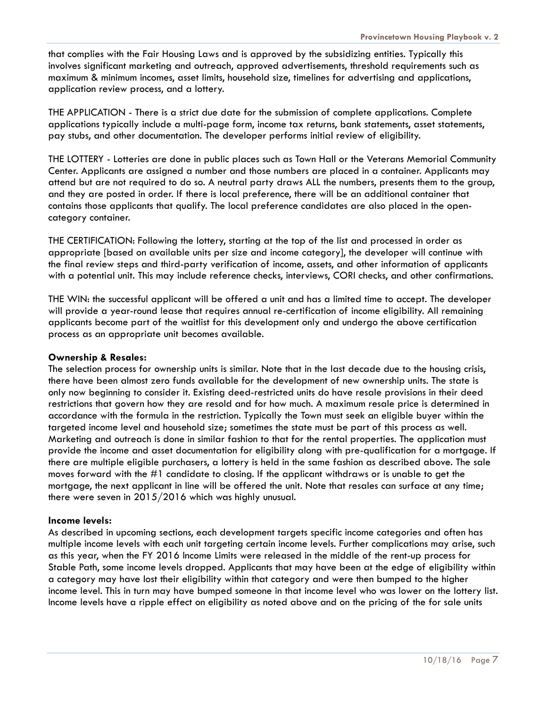that complies with the Fair Housing Laws and is approved by the subsidizing entities. Typically this involves significant marketing and outreach, approved advertisements, threshold requirements such as maximum & minimum incomes, asset limits, household size, timelines for advertising and applications, application review process, and a lottery.

THE APPLICATION - There is a strict due date for the submission of complete applications. Complete applications typically include a multi-page form, income tax returns, bank statements, asset statements, pay stubs, and other documentation. The developer performs initial review of eligibility.

THE LOTTERY - Lotteries are done in public places such as Town Hall or the Veterans Memorial Community Center. Applicants are assigned a number and those numbers are placed in a container. Applicants may attend but are not required to do so. A neutral party draws ALL the numbers, presents them to the group, and they are posted in order. If there is local preference, there will be an additional container that contains those applicants that qualify. The local preference candidates are also placed in the opencategory container.

THE CERTIFICATION: Following the lottery, starting at the top of the list and processed in order as appropriate [based on available units per size and income category], the developer will continue with the final review steps and third-party verification of income, assets, and other information of applicants with a potential unit. This may include reference checks, interviews, CORI checks, and other confirmations.

THE WIN: the successful applicant will be offered a unit and has a limited time to accept. The developer will provide a year-round lease that requires annual re-certification of income eligibility. All remaining applicants become part of the waitlist for this development only and undergo the above certification process as an appropriate unit becomes available.

### **Ownership & Resales:**

The selection process for ownership units is similar. Note that in the last decade due to the housing crisis, there have been almost zero funds available for the development of new ownership units. The state is only now beginning to consider it. Existing deed-restricted units do have resale provisions in their deed restrictions that govern how they are resold and for how much. A maximum resale price is determined in accordance with the formula in the restriction. Typically the Town must seek an eligible buyer within the targeted income level and household size; sometimes the state must be part of this process as well. Marketing and outreach is done in similar fashion to that for the rental properties. The application must provide the income and asset documentation for eligibility along with pre-qualification for a mortgage. If there are multiple eligible purchasers, a lottery is held in the same fashion as described above. The sale moves forward with the #1 candidate to closing. If the applicant withdraws or is unable to get the mortgage, the next applicant in line will be offered the unit. Note that resales can surface at any time; there were seven in 2015/2016 which was highly unusual.

#### **Income levels:**

As described in upcoming sections, each development targets specific income categories and often has multiple income levels with each unit targeting certain income levels. Further complications may arise, such as this year, when the FY 2016 Income Limits were released in the middle of the rent-up process for Stable Path, some income levels dropped. Applicants that may have been at the edge of eligibility within a category may have lost their eligibility within that category and were then bumped to the higher income level. This in turn may have bumped someone in that income level who was lower on the lottery list. Income levels have a ripple effect on eligibility as noted above and on the pricing of the for sale units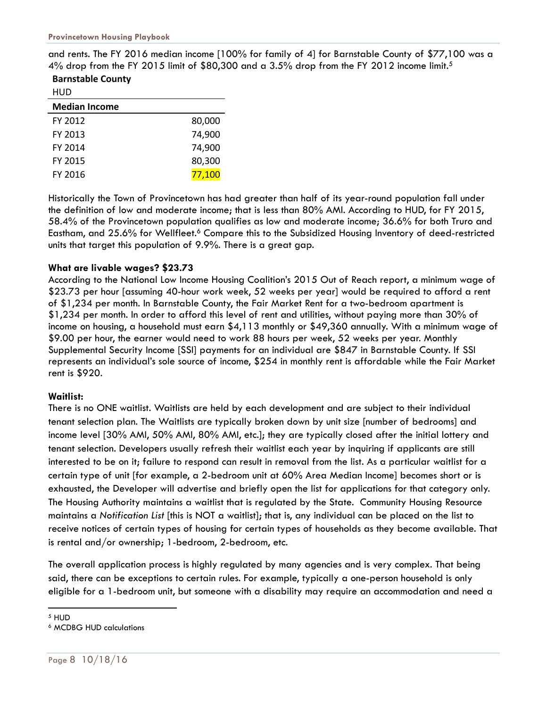and rents. The FY 2016 median income [100% for family of 4] for Barnstable County of \$77,100 was a 4% drop from the FY 2015 limit of \$80,300 and a 3.5% drop from the FY 2012 income limit.<sup>5</sup>

**Barnstable County** HUD

| HUD                  |        |
|----------------------|--------|
| <b>Median Income</b> |        |
| FY 2012              | 80,000 |
| FY 2013              | 74,900 |
| FY 2014              | 74,900 |
| FY 2015              | 80,300 |
| FY 2016              | 77,100 |

Historically the Town of Provincetown has had greater than half of its year-round population fall under the definition of low and moderate income; that is less than 80% AMI. According to HUD, for FY 2015, 58.4% of the Provincetown population qualifies as low and moderate income; 36.6% for both Truro and Eastham, and 25.6% for Wellfleet.<sup>6</sup> Compare this to the Subsidized Housing Inventory of deed-restricted units that target this population of 9.9%. There is a great gap.

### **What are livable wages? \$23.73**

According to the National Low Income Housing Coalition's 2015 Out of Reach report, a minimum wage of \$23.73 per hour [assuming 40-hour work week, 52 weeks per year] would be required to afford a rent of \$1,234 per month. In Barnstable County, the Fair Market Rent for a two-bedroom apartment is \$1,234 per month. In order to afford this level of rent and utilities, without paying more than 30% of income on housing, a household must earn \$4,113 monthly or \$49,360 annually. With a minimum wage of \$9.00 per hour, the earner would need to work 88 hours per week, 52 weeks per year. Monthly Supplemental Security Income [SSI] payments for an individual are \$847 in Barnstable County. If SSI represents an individual's sole source of income, \$254 in monthly rent is affordable while the Fair Market rent is \$920.

### **Waitlist:**

There is no ONE waitlist. Waitlists are held by each development and are subject to their individual tenant selection plan. The Waitlists are typically broken down by unit size [number of bedrooms] and income level [30% AMI, 50% AMI, 80% AMI, etc.]; they are typically closed after the initial lottery and tenant selection. Developers usually refresh their waitlist each year by inquiring if applicants are still interested to be on it; failure to respond can result in removal from the list. As a particular waitlist for a certain type of unit [for example, a 2-bedroom unit at 60% Area Median Income] becomes short or is exhausted, the Developer will advertise and briefly open the list for applications for that category only. The Housing Authority maintains a waitlist that is regulated by the State. Community Housing Resource maintains a *Notification List* [this is NOT a waitlist]; that is, any individual can be placed on the list to receive notices of certain types of housing for certain types of households as they become available. That is rental and/or ownership; 1-bedroom, 2-bedroom, etc.

The overall application process is highly regulated by many agencies and is very complex. That being said, there can be exceptions to certain rules. For example, typically a one-person household is only eligible for a 1-bedroom unit, but someone with a disability may require an accommodation and need a

l 5 HUD

<sup>6</sup> MCDBG HUD calculations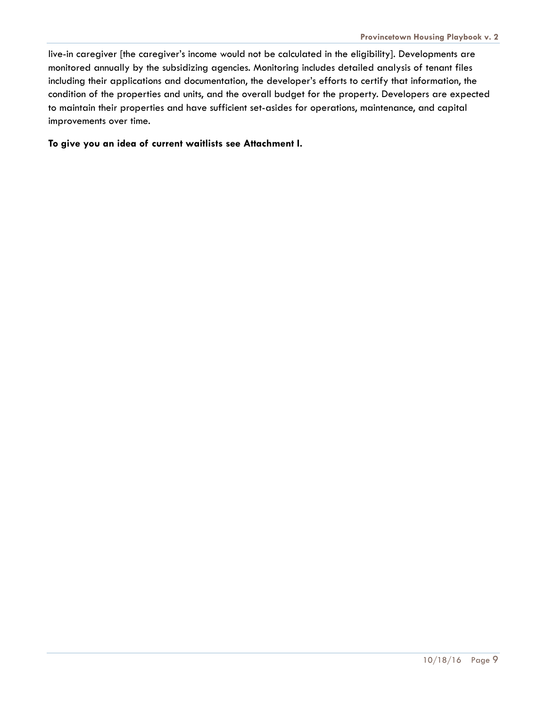live-in caregiver [the caregiver's income would not be calculated in the eligibility]. Developments are monitored annually by the subsidizing agencies. Monitoring includes detailed analysis of tenant files including their applications and documentation, the developer's efforts to certify that information, the condition of the properties and units, and the overall budget for the property. Developers are expected to maintain their properties and have sufficient set-asides for operations, maintenance, and capital improvements over time.

### **To give you an idea of current waitlists see Attachment I.**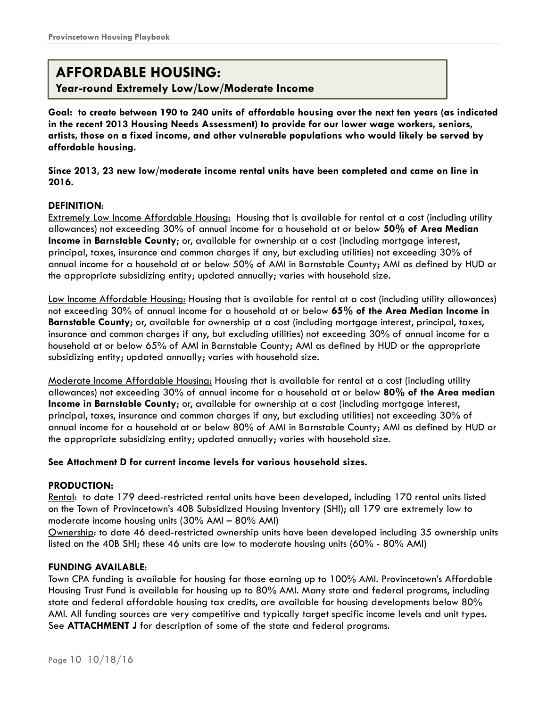### **AFFORDABLE HOUSING:**

**Year-round Extremely Low/Low/Moderate Income**

**Goal: to create between 190 to 240 units of affordable housing over the next ten years (as indicated in the recent 2013 Housing Needs Assessment) to provide for our lower wage workers, seniors, artists, those on a fixed income, and other vulnerable populations who would likely be served by affordable housing.** 

**Since 2013, 23 new low/moderate income rental units have been completed and came on line in 2016.** 

### **DEFINITION**:

Extremely Low Income Affordable Housing: Housing that is available for rental at a cost (including utility allowances) not exceeding 30% of annual income for a household at or below **50% of Area Median Income in Barnstable County**; or, available for ownership at a cost (including mortgage interest, principal, taxes, insurance and common charges if any, but excluding utilities) not exceeding 30% of annual income for a household at or below 50% of AMI in Barnstable County; AMI as defined by HUD or the appropriate subsidizing entity; updated annually; varies with household size.

Low Income Affordable Housing: Housing that is available for rental at a cost (including utility allowances) not exceeding 30% of annual income for a household at or below **65% of the Area Median Income in Barnstable County**; or, available for ownership at a cost (including mortgage interest, principal, taxes, insurance and common charges if any, but excluding utilities) not exceeding 30% of annual income for a household at or below 65% of AMI in Barnstable County; AMI as defined by HUD or the appropriate subsidizing entity; updated annually; varies with household size.

Moderate Income Affordable Housing: Housing that is available for rental at a cost (including utility allowances) not exceeding 30% of annual income for a household at or below **80% of the Area median Income in Barnstable County**; or, available for ownership at a cost (including mortgage interest, principal, taxes, insurance and common charges if any, but excluding utilities) not exceeding 30% of annual income for a household at or below 80% of AMI in Barnstable County; AMI as defined by HUD or the appropriate subsidizing entity; updated annually; varies with household size.

### **See Attachment D for current income levels for various household sizes.**

### **PRODUCTION:**

Rental: to date 179 deed-restricted rental units have been developed, including 170 rental units listed on the Town of Provincetown's 40B Subsidized Housing Inventory (SHI); all 179 are extremely low to moderate income housing units (30% AMI – 80% AMI)

Ownership: to date 46 deed-restricted ownership units have been developed including 35 ownership units listed on the 40B SHI; these 46 units are low to moderate housing units (60% - 80% AMI)

### **FUNDING AVAILABLE**:

Town CPA funding is available for housing for those earning up to 100% AMI. Provincetown's Affordable Housing Trust Fund is available for housing up to 80% AMI. Many state and federal programs, including state and federal affordable housing tax credits, are available for housing developments below 80% AMI. All funding sources are very competitive and typically target specific income levels and unit types. See **ATTACHMENT J** for description of some of the state and federal programs.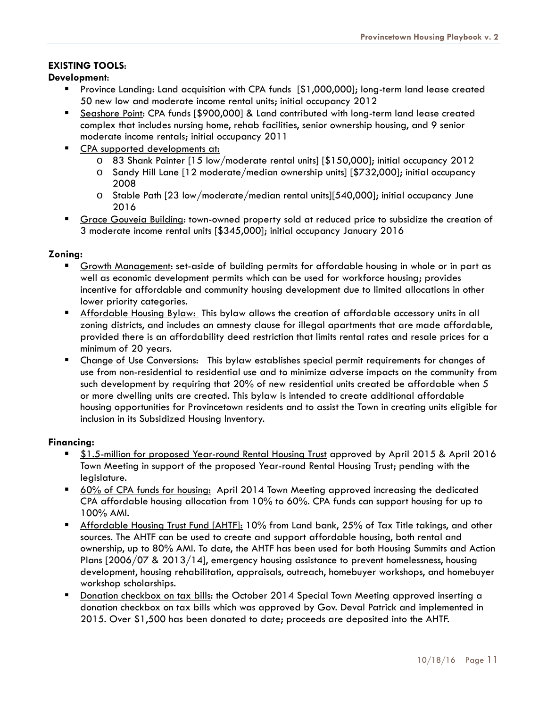### **EXISTING TOOLS**:

### **Development**:

- Province Landing: Land acquisition with CPA funds [\$1,000,000]; long-term land lease created 50 new low and moderate income rental units; initial occupancy 2012
- Seashore Point: CPA funds [\$900,000] & Land contributed with long-term land lease created complex that includes nursing home, rehab facilities, senior ownership housing, and 9 senior moderate income rentals; initial occupancy 2011
- CPA supported developments at:
	- o 83 Shank Painter [15 low/moderate rental units] [\$150,000]; initial occupancy 2012
	- o Sandy Hill Lane [12 moderate/median ownership units] [\$732,000]; initial occupancy 2008
	- o Stable Path [23 low/moderate/median rental units][540,000]; initial occupancy June 2016
- Grace Gouveia Building: town-owned property sold at reduced price to subsidize the creation of 3 moderate income rental units [\$345,000]; initial occupancy January 2016

### **Zoning:**

- Growth Management: set-aside of building permits for affordable housing in whole or in part as well as economic development permits which can be used for workforce housing; provides incentive for affordable and community housing development due to limited allocations in other lower priority categories.
- Affordable Housing Bylaw: This bylaw allows the creation of affordable accessory units in all zoning districts, and includes an amnesty clause for illegal apartments that are made affordable, provided there is an affordability deed restriction that limits rental rates and resale prices for a minimum of 20 years.
- Change of Use Conversions: This bylaw establishes special permit requirements for changes of use from non-residential to residential use and to minimize adverse impacts on the community from such development by requiring that 20% of new residential units created be affordable when 5 or more dwelling units are created. This bylaw is intended to create additional affordable housing opportunities for Provincetown residents and to assist the Town in creating units eligible for inclusion in its Subsidized Housing Inventory.

### **Financing:**

- \$1.5-million for proposed Year-round Rental Housing Trust approved by April 2015 & April 2016 Town Meeting in support of the proposed Year-round Rental Housing Trust; pending with the legislature.
- 60% of CPA funds for housing: April 2014 Town Meeting approved increasing the dedicated CPA affordable housing allocation from 10% to 60%. CPA funds can support housing for up to 100% AMI.
- **Affordable Housing Trust Fund [AHTF]: 10% from Land bank, 25% of Tax Title takings, and other** sources. The AHTF can be used to create and support affordable housing, both rental and ownership, up to 80% AMI. To date, the AHTF has been used for both Housing Summits and Action Plans [2006/07 & 2013/14], emergency housing assistance to prevent homelessness, housing development, housing rehabilitation, appraisals, outreach, homebuyer workshops, and homebuyer workshop scholarships.
- Donation checkbox on tax bills: the October 2014 Special Town Meeting approved inserting a donation checkbox on tax bills which was approved by Gov. Deval Patrick and implemented in 2015. Over \$1,500 has been donated to date; proceeds are deposited into the AHTF.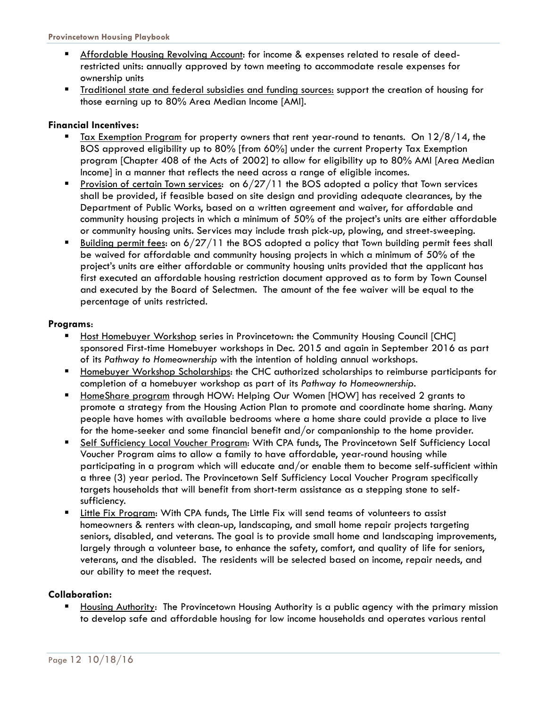- Affordable Housing Revolving Account: for income & expenses related to resale of deedrestricted units: annually approved by town meeting to accommodate resale expenses for ownership units
- Traditional state and federal subsidies and funding sources: support the creation of housing for those earning up to 80% Area Median Income [AMI].

### **Financial Incentives:**

- Tax Exemption Program for property owners that rent year-round to tenants. On 12/8/14, the BOS approved eligibility up to 80% [from 60%] under the current Property Tax Exemption program [Chapter 408 of the Acts of 2002] to allow for eligibility up to 80% AMI [Area Median Income] in a manner that reflects the need across a range of eligible incomes.
- Provision of certain Town services: on 6/27/11 the BOS adopted a policy that Town services shall be provided, if feasible based on site design and providing adequate clearances, by the Department of Public Works, based on a written agreement and waiver, for affordable and community housing projects in which a minimum of 50% of the project's units are either affordable or community housing units. Services may include trash pick-up, plowing, and street-sweeping.
- Building permit fees: on 6/27/11 the BOS adopted a policy that Town building permit fees shall be waived for affordable and community housing projects in which a minimum of 50% of the project's units are either affordable or community housing units provided that the applicant has first executed an affordable housing restriction document approved as to form by Town Counsel and executed by the Board of Selectmen. The amount of the fee waiver will be equal to the percentage of units restricted.

### **Programs**:

- Host Homebuyer Workshop series in Provincetown: the Community Housing Council [CHC] sponsored First-time Homebuyer workshops in Dec. 2015 and again in September 2016 as part of its *Pathway to Homeownership* with the intention of holding annual workshops.
- Homebuyer Workshop Scholarships: the CHC authorized scholarships to reimburse participants for completion of a homebuyer workshop as part of its *Pathway to Homeownership.*
- HomeShare program through HOW: Helping Our Women [HOW] has received 2 grants to promote a strategy from the Housing Action Plan to promote and coordinate home sharing. Many people have homes with available bedrooms where a home share could provide a place to live for the home-seeker and some financial benefit and/or companionship to the home provider.
- Self Sufficiency Local Voucher Program: With CPA funds, The Provincetown Self Sufficiency Local Voucher Program aims to allow a family to have affordable, year-round housing while participating in a program which will educate and/or enable them to become self-sufficient within a three (3) year period. The Provincetown Self Sufficiency Local Voucher Program specifically targets households that will benefit from short-term assistance as a stepping stone to selfsufficiency.
- Little Fix Program: With CPA funds, The Little Fix will send teams of volunteers to assist homeowners & renters with clean-up, landscaping, and small home repair projects targeting seniors, disabled, and veterans. The goal is to provide small home and landscaping improvements, largely through a volunteer base, to enhance the safety, comfort, and quality of life for seniors, veterans, and the disabled. The residents will be selected based on income, repair needs, and our ability to meet the request.

### **Collaboration:**

 Housing Authority: The Provincetown Housing Authority is a public agency with the primary mission to develop safe and affordable housing for low income households and operates various rental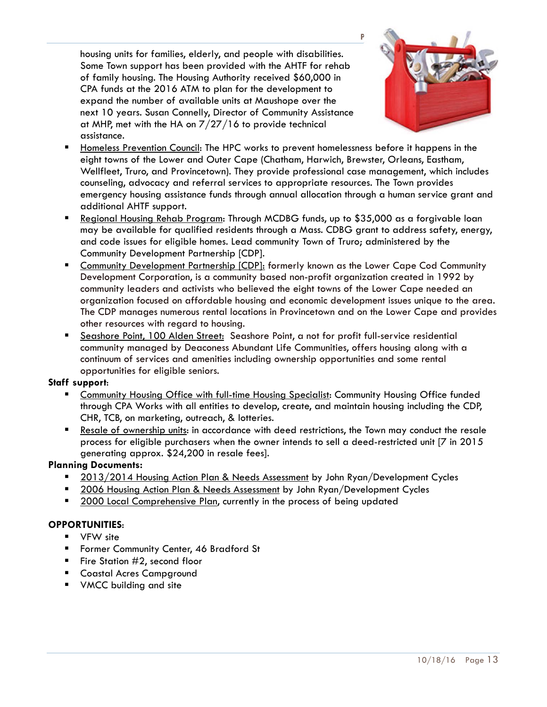housing units for families, elderly, and people with disabilities. Some Town support has been provided with the AHTF for rehab of family housing. The Housing Authority received \$60,000 in CPA funds at the 2016 ATM to plan for the development to expand the number of available units at Maushope over the next 10 years. Susan Connelly, Director of Community Assistance at MHP, met with the HA on 7/27/16 to provide technical assistance.



- Homeless Prevention Council: The HPC works to prevent homelessness before it happens in the eight towns of the Lower and Outer Cape (Chatham, Harwich, Brewster, Orleans, Eastham, Wellfleet, Truro, and Provincetown). They provide professional case management, which includes counseling, advocacy and referral services to appropriate resources. The Town provides emergency housing assistance funds through annual allocation through a human service grant and additional AHTF support.
- Regional Housing Rehab Program: Through MCDBG funds, up to \$35,000 as a forgivable loan may be available for qualified residents through a Mass. CDBG grant to address safety, energy, and code issues for eligible homes. Lead community Town of Truro; administered by the Community Development Partnership [CDP].
- Community Development Partnership [CDP]: formerly known as the Lower Cape Cod Community Development Corporation, is a community based non-profit organization created in 1992 by community leaders and activists who believed the eight towns of the Lower Cape needed an organization focused on affordable housing and economic development issues unique to the area. The CDP manages numerous rental locations in Provincetown and on the Lower Cape and provides other resources with regard to housing.
- Seashore Point, 100 Alden Street: Seashore Point, a not for profit full-service residential community managed by Deaconess Abundant Life Communities, offers housing along with a continuum of services and amenities including ownership opportunities and some rental opportunities for eligible seniors.

### **Staff support**:

- Community Housing Office with full-time Housing Specialist: Community Housing Office funded through CPA Works with all entities to develop, create, and maintain housing including the CDP, CHR, TCB, on marketing, outreach, & lotteries.
- Resale of ownership units: in accordance with deed restrictions, the Town may conduct the resale process for eligible purchasers when the owner intends to sell a deed-restricted unit [7 in 2015 generating approx. \$24,200 in resale fees].

### **Planning Documents:**

- 2013/2014 Housing Action Plan & Needs Assessment by John Ryan/Development Cycles
- **2006 Housing Action Plan & Needs Assessment by John Ryan/Development Cycles**
- **2000 Local Comprehensive Plan, currently in the process of being updated**

### **OPPORTUNITIES**:

- VFW site
- Former Community Center, 46 Bradford St
- Fire Station  $#2$ , second floor
- **Coastal Acres Campground**
- **VMCC** building and site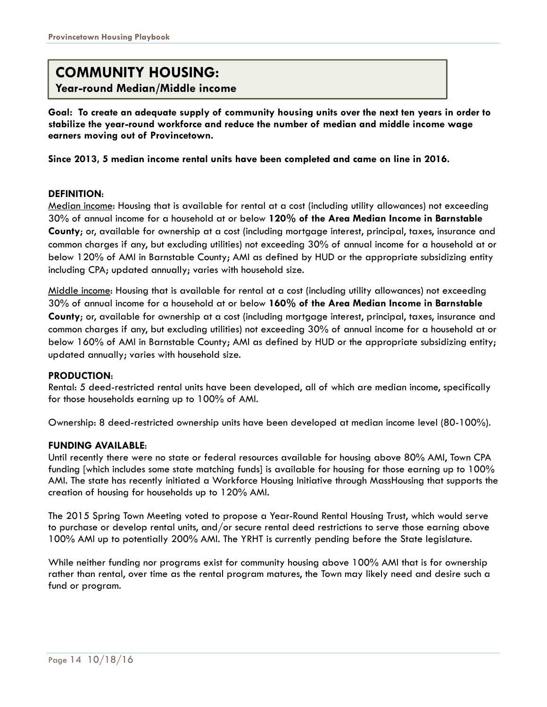### **COMMUNITY HOUSING:**

**Year-round Median/Middle income**

**Goal: To create an adequate supply of community housing units over the next ten years in order to stabilize the year-round workforce and reduce the number of median and middle income wage earners moving out of Provincetown.** 

**Since 2013, 5 median income rental units have been completed and came on line in 2016.** 

### **DEFINITION**:

Median income: Housing that is available for rental at a cost (including utility allowances) not exceeding 30% of annual income for a household at or below **120% of the Area Median Income in Barnstable County**; or, available for ownership at a cost (including mortgage interest, principal, taxes, insurance and common charges if any, but excluding utilities) not exceeding 30% of annual income for a household at or below 120% of AMI in Barnstable County; AMI as defined by HUD or the appropriate subsidizing entity including CPA; updated annually; varies with household size.

Middle income: Housing that is available for rental at a cost (including utility allowances) not exceeding 30% of annual income for a household at or below **160% of the Area Median Income in Barnstable County**; or, available for ownership at a cost (including mortgage interest, principal, taxes, insurance and common charges if any, but excluding utilities) not exceeding 30% of annual income for a household at or below 160% of AMI in Barnstable County; AMI as defined by HUD or the appropriate subsidizing entity; updated annually; varies with household size.

### **PRODUCTION**:

Rental: 5 deed-restricted rental units have been developed, all of which are median income, specifically for those households earning up to 100% of AMI.

Ownership: 8 deed-restricted ownership units have been developed at median income level (80-100%).

### **FUNDING AVAILABLE**:

Until recently there were no state or federal resources available for housing above 80% AMI, Town CPA funding [which includes some state matching funds] is available for housing for those earning up to 100% AMI. The state has recently initiated a Workforce Housing Initiative through MassHousing that supports the creation of housing for households up to 120% AMI.

The 2015 Spring Town Meeting voted to propose a Year-Round Rental Housing Trust, which would serve to purchase or develop rental units, and/or secure rental deed restrictions to serve those earning above 100% AMI up to potentially 200% AMI. The YRHT is currently pending before the State legislature.

While neither funding nor programs exist for community housing above 100% AMI that is for ownership rather than rental, over time as the rental program matures, the Town may likely need and desire such a fund or program.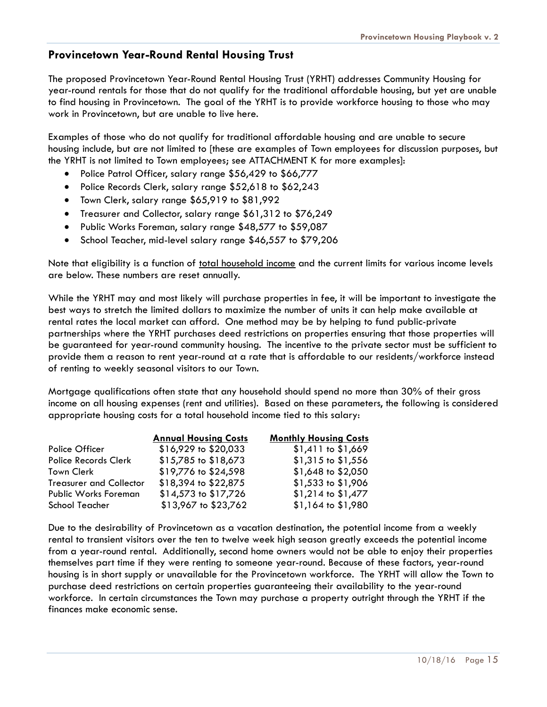### **Provincetown Year-Round Rental Housing Trust**

The proposed Provincetown Year-Round Rental Housing Trust (YRHT) addresses Community Housing for year-round rentals for those that do not qualify for the traditional affordable housing, but yet are unable to find housing in Provincetown. The goal of the YRHT is to provide workforce housing to those who may work in Provincetown, but are unable to live here.

Examples of those who do not qualify for traditional affordable housing and are unable to secure housing include, but are not limited to [these are examples of Town employees for discussion purposes, but the YRHT is not limited to Town employees; see ATTACHMENT K for more examples]:

- Police Patrol Officer, salary range \$56,429 to \$66,777
- Police Records Clerk, salary range \$52,618 to \$62,243
- Town Clerk, salary range \$65,919 to \$81,992
- Treasurer and Collector, salary range \$61,312 to \$76,249
- Public Works Foreman, salary range \$48,577 to \$59,087
- School Teacher, mid-level salary range \$46,557 to \$79,206

Note that eligibility is a function of total household income and the current limits for various income levels are below. These numbers are reset annually.

While the YRHT may and most likely will purchase properties in fee, it will be important to investigate the best ways to stretch the limited dollars to maximize the number of units it can help make available at rental rates the local market can afford. One method may be by helping to fund public-private partnerships where the YRHT purchases deed restrictions on properties ensuring that those properties will be guaranteed for year-round community housing. The incentive to the private sector must be sufficient to provide them a reason to rent year-round at a rate that is affordable to our residents/workforce instead of renting to weekly seasonal visitors to our Town.

Mortgage qualifications often state that any household should spend no more than 30% of their gross income on all housing expenses (rent and utilities). Based on these parameters, the following is considered appropriate housing costs for a total household income tied to this salary:

|                                | <b>Annual Housing Costs</b> | <b>Monthly Housing Costs</b> |
|--------------------------------|-----------------------------|------------------------------|
| Police Officer                 | \$16,929 to \$20,033        | $$1,411$ to $$1,669$         |
| <b>Police Records Clerk</b>    | \$15,785 to \$18,673        | $$1,315$ to $$1,556$         |
| Town Clerk                     | \$19,776 to \$24,598        | \$1,648 to \$2,050           |
| <b>Treasurer and Collector</b> | \$18,394 to \$22,875        | \$1,533 to \$1,906           |
| <b>Public Works Foreman</b>    | \$14,573 to \$17,726        | \$1,214 to \$1,477           |
| School Teacher                 | \$13,967 to \$23,762        | \$1,164 to \$1,980           |

Due to the desirability of Provincetown as a vacation destination, the potential income from a weekly rental to transient visitors over the ten to twelve week high season greatly exceeds the potential income from a year-round rental. Additionally, second home owners would not be able to enjoy their properties themselves part time if they were renting to someone year-round. Because of these factors, year-round housing is in short supply or unavailable for the Provincetown workforce. The YRHT will allow the Town to purchase deed restrictions on certain properties guaranteeing their availability to the year-round workforce. In certain circumstances the Town may purchase a property outright through the YRHT if the finances make economic sense.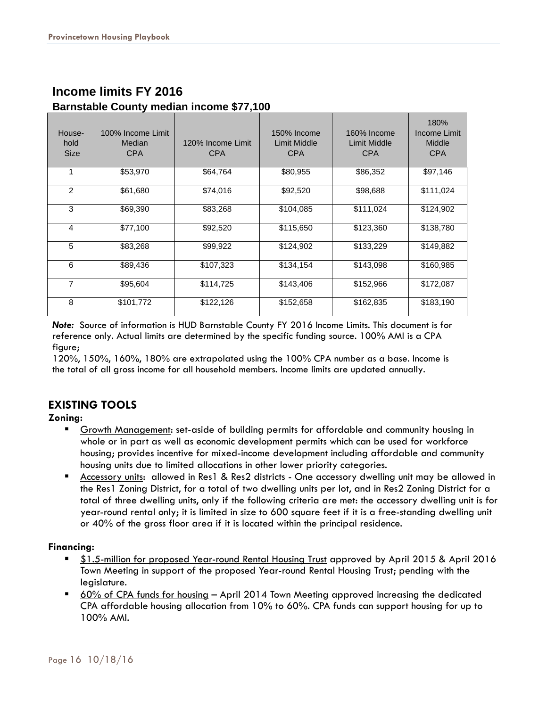| House-<br>hold<br><b>Size</b> | 100% Income Limit<br>Median<br><b>CPA</b> | 120% Income Limit<br><b>CPA</b> | 150% Income<br>Limit Middle<br><b>CPA</b> | 160% Income<br>Limit Middle<br><b>CPA</b> | 180%<br>Income Limit<br>Middle<br><b>CPA</b> |
|-------------------------------|-------------------------------------------|---------------------------------|-------------------------------------------|-------------------------------------------|----------------------------------------------|
|                               | \$53,970                                  | \$64,764                        | \$80,955                                  | \$86,352                                  | \$97,146                                     |
| $\overline{2}$                | \$61,680                                  | \$74,016                        | \$92,520                                  | \$98,688                                  | \$111,024                                    |
| 3                             | \$69,390                                  | \$83,268                        | \$104,085                                 | \$111,024                                 | \$124,902                                    |
| 4                             | \$77,100                                  | \$92,520                        | \$115,650                                 | \$123,360                                 | \$138,780                                    |
| 5                             | \$83,268                                  | \$99,922                        | \$124,902                                 | \$133,229                                 | \$149,882                                    |
| 6                             | \$89,436                                  | \$107,323                       | \$134,154                                 | \$143,098                                 | \$160,985                                    |
| 7                             | \$95,604                                  | \$114,725                       | \$143,406                                 | \$152,966                                 | \$172,087                                    |
| 8                             | \$101,772                                 | \$122,126                       | \$152,658                                 | \$162,835                                 | \$183,190                                    |

### **Income limits FY 2016 Barnstable County median income \$77,100**

*Note:* Source of information is HUD Barnstable County FY 2016 Income Limits. This document is for reference only. Actual limits are determined by the specific funding source. 100% AMI is a CPA figure;

120%, 150%, 160%, 180% are extrapolated using the 100% CPA number as a base. Income is the total of all gross income for all household members. Income limits are updated annually.

### **EXISTING TOOLS**

### **Zoning:**

- Growth Management: set-aside of building permits for affordable and community housing in whole or in part as well as economic development permits which can be used for workforce housing; provides incentive for mixed-income development including affordable and community housing units due to limited allocations in other lower priority categories.
- Accessory units: allowed in Res1 & Res2 districts One accessory dwelling unit may be allowed in the Res1 Zoning District, for a total of two dwelling units per lot, and in Res2 Zoning District for a total of three dwelling units, only if the following criteria are met: the accessory dwelling unit is for year-round rental only; it is limited in size to 600 square feet if it is a free-standing dwelling unit or 40% of the gross floor area if it is located within the principal residence.

### **Financing:**

- \$1.5-million for proposed Year-round Rental Housing Trust approved by April 2015 & April 2016 Town Meeting in support of the proposed Year-round Rental Housing Trust; pending with the legislature.
- 60% of CPA funds for housing April 2014 Town Meeting approved increasing the dedicated CPA affordable housing allocation from 10% to 60%. CPA funds can support housing for up to 100% AMI.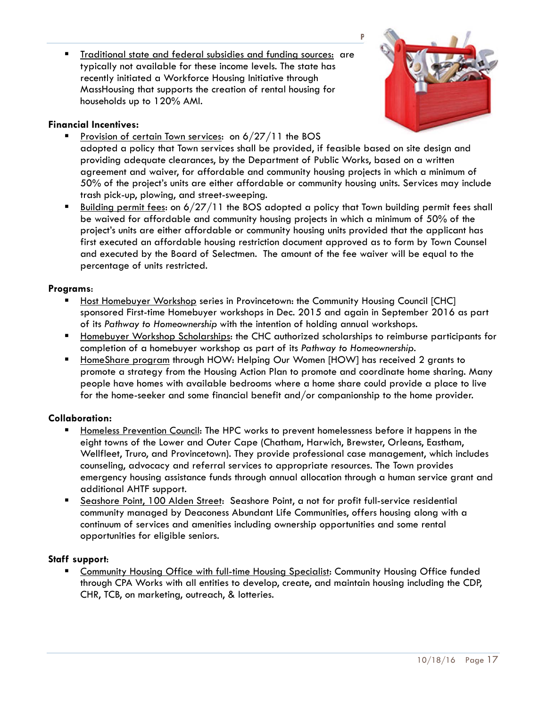**Traditional state and federal subsidies and funding sources: are** typically not available for these income levels. The state has recently initiated a Workforce Housing Initiative through MassHousing that supports the creation of rental housing for households up to 120% AMI.

### **Financial Incentives:**

Provision of certain Town services: on 6/27/11 the BOS



- adopted a policy that Town services shall be provided, if feasible based on site design and providing adequate clearances, by the Department of Public Works, based on a written agreement and waiver, for affordable and community housing projects in which a minimum of 50% of the project's units are either affordable or community housing units. Services may include trash pick-up, plowing, and street-sweeping.
- Building permit fees: on 6/27/11 the BOS adopted a policy that Town building permit fees shall be waived for affordable and community housing projects in which a minimum of 50% of the project's units are either affordable or community housing units provided that the applicant has first executed an affordable housing restriction document approved as to form by Town Counsel and executed by the Board of Selectmen. The amount of the fee waiver will be equal to the percentage of units restricted.

### **Programs**:

- Host Homebuyer Workshop series in Provincetown: the Community Housing Council [CHC] sponsored First-time Homebuyer workshops in Dec. 2015 and again in September 2016 as part of its *Pathway to Homeownership* with the intention of holding annual workshops.
- Homebuyer Workshop Scholarships: the CHC authorized scholarships to reimburse participants for completion of a homebuyer workshop as part of its *Pathway to Homeownership.*
- HomeShare program through HOW: Helping Our Women [HOW] has received 2 grants to promote a strategy from the Housing Action Plan to promote and coordinate home sharing. Many people have homes with available bedrooms where a home share could provide a place to live for the home-seeker and some financial benefit and/or companionship to the home provider.

### **Collaboration:**

- Homeless Prevention Council: The HPC works to prevent homelessness before it happens in the eight towns of the Lower and Outer Cape (Chatham, Harwich, Brewster, Orleans, Eastham, Wellfleet, Truro, and Provincetown). They provide professional case management, which includes counseling, advocacy and referral services to appropriate resources. The Town provides emergency housing assistance funds through annual allocation through a human service grant and additional AHTF support.
- **Seashore Point, 100 Alden Street:** Seashore Point, a not for profit full-service residential community managed by Deaconess Abundant Life Communities, offers housing along with a continuum of services and amenities including ownership opportunities and some rental opportunities for eligible seniors.

### **Staff support**:

 Community Housing Office with full-time Housing Specialist: Community Housing Office funded through CPA Works with all entities to develop, create, and maintain housing including the CDP, CHR, TCB, on marketing, outreach, & lotteries.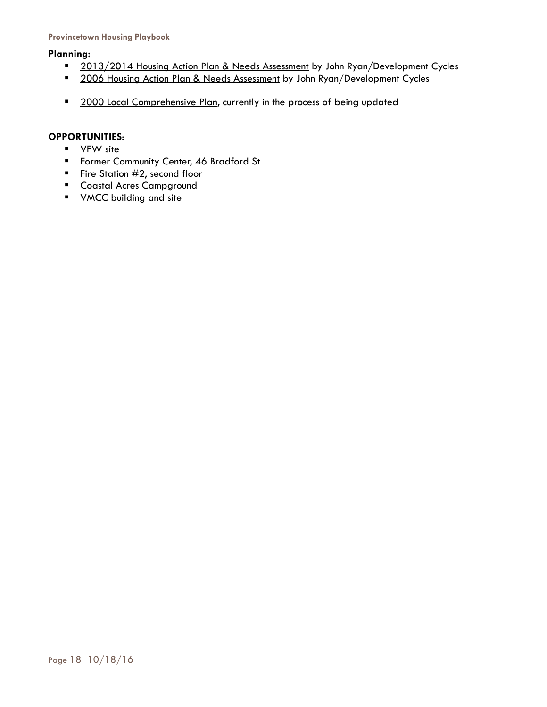### **Planning:**

- 2013/2014 Housing Action Plan & Needs Assessment by John Ryan/Development Cycles
- 2006 Housing Action Plan & Needs Assessment by John Ryan/Development Cycles
- 2000 Local Comprehensive Plan, currently in the process of being updated

### **OPPORTUNITIES**:

- **v** VFW site
- **Former Community Center, 46 Bradford St**
- Fire Station  $#2$ , second floor
- **Coastal Acres Campground**
- **v** VMCC building and site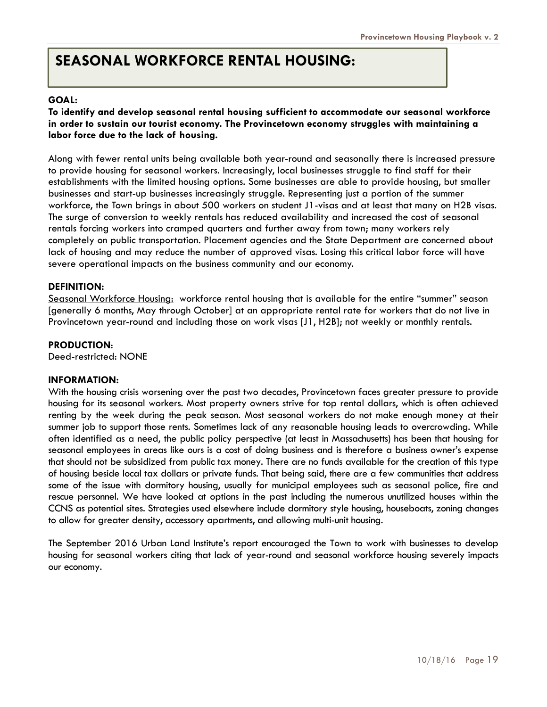### **SEASONAL WORKFORCE RENTAL HOUSING:**

### **GOAL:**

### **To identify and develop seasonal rental housing sufficient to accommodate our seasonal workforce in order to sustain our tourist economy. The Provincetown economy struggles with maintaining a labor force due to the lack of housing.**

Along with fewer rental units being available both year-round and seasonally there is increased pressure to provide housing for seasonal workers. Increasingly, local businesses struggle to find staff for their establishments with the limited housing options. Some businesses are able to provide housing, but smaller businesses and start-up businesses increasingly struggle. Representing just a portion of the summer workforce, the Town brings in about 500 workers on student J1-visas and at least that many on H2B visas. The surge of conversion to weekly rentals has reduced availability and increased the cost of seasonal rentals forcing workers into cramped quarters and further away from town; many workers rely completely on public transportation. Placement agencies and the State Department are concerned about lack of housing and may reduce the number of approved visas. Losing this critical labor force will have severe operational impacts on the business community and our economy.

### **DEFINITION:**

Seasonal Workforce Housing: workforce rental housing that is available for the entire "summer" season [generally 6 months, May through October] at an appropriate rental rate for workers that do not live in Provincetown year-round and including those on work visas [J1, H2B]; not weekly or monthly rentals.

#### **PRODUCTION**:

Deed-restricted: NONE

#### **INFORMATION:**

With the housing crisis worsening over the past two decades, Provincetown faces greater pressure to provide housing for its seasonal workers. Most property owners strive for top rental dollars, which is often achieved renting by the week during the peak season. Most seasonal workers do not make enough money at their summer job to support those rents. Sometimes lack of any reasonable housing leads to overcrowding. While often identified as a need, the public policy perspective (at least in Massachusetts) has been that housing for seasonal employees in areas like ours is a cost of doing business and is therefore a business owner's expense that should not be subsidized from public tax money. There are no funds available for the creation of this type of housing beside local tax dollars or private funds. That being said, there are a few communities that address some of the issue with dormitory housing, usually for municipal employees such as seasonal police, fire and rescue personnel. We have looked at options in the past including the numerous unutilized houses within the CCNS as potential sites. Strategies used elsewhere include dormitory style housing, houseboats, zoning changes to allow for greater density, accessory apartments, and allowing multi-unit housing.

The September 2016 Urban Land Institute's report encouraged the Town to work with businesses to develop housing for seasonal workers citing that lack of year-round and seasonal workforce housing severely impacts our economy.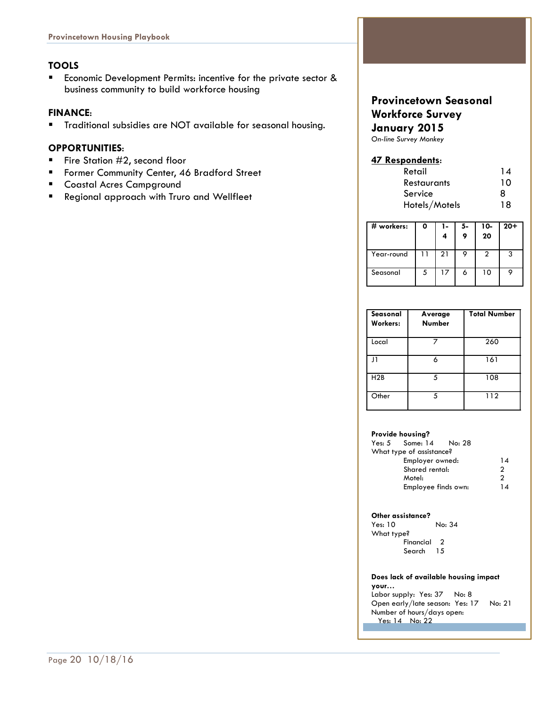### **TOOLS**

**Economic Development Permits: incentive for the private sector &** business community to build workforce housing

### **FINANCE**:

Traditional subsidies are NOT available for seasonal housing.

### **OPPORTUNITIES**:

- Fire Station  $#2$ , second floor
- **F** Former Community Center, 46 Bradford Street
- **EXECOASTAN Acres Campground**
- Regional approach with Truro and Wellfleet

### **Provincetown Seasonal Workforce Survey January 2015**

*On-line Survey Monkey* 

### **47 Respondents**:

| Retail             | 14 |
|--------------------|----|
| <b>Restaurants</b> | 10 |
| Service            | 8  |
| Hotels/Motels      | 18 |

| # workers: | 0 | 1- | 5- | 10-<br>20 | $20 +$ |
|------------|---|----|----|-----------|--------|
| Year-round |   | 21 |    |           | 3      |
| Seasonal   | 5 | 17 |    | 10        |        |

| Seasonal<br>Workers: | Average<br><b>Number</b> | <b>Total Number</b> |
|----------------------|--------------------------|---------------------|
| Local                |                          | 260                 |
| $\mathbf{1}$         | К                        | 161                 |
| H2B                  | 5                        | 108                 |
| Other                | 5                        | 112                 |

#### **Provide housing?**

| What type of assistance? |               |
|--------------------------|---------------|
| Employer owned:          | 14            |
| Shared rental:           | $\mathcal{P}$ |
| Motel:                   | っ             |
| Employee finds own:      | 14            |

#### **Other assistance?**

Yes: 10 No: 34 What type? Financial 2 Search 15

#### **Does lack of available housing impact**

**your…**  Labor supply: Yes: 37 No: 8 Open early/late season: Yes: 17 No: 21 Number of hours/days open: Yes: 14 No: 22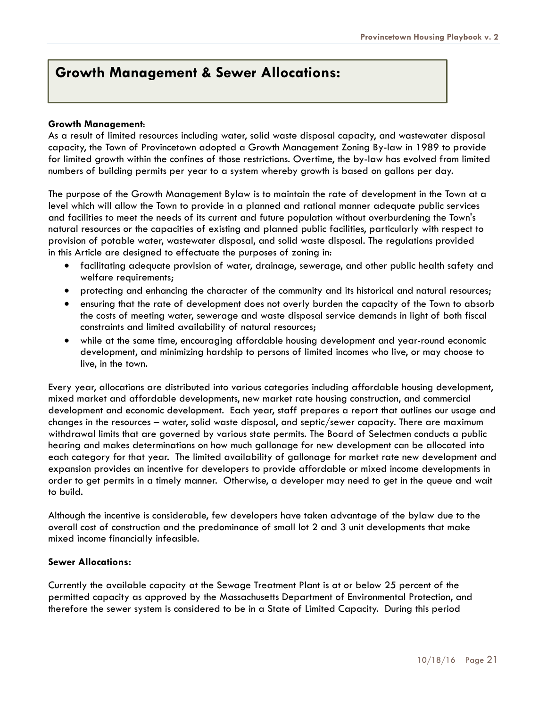### **Growth Management & Sewer Allocations:**

### **Growth Management**:

As a result of limited resources including water, solid waste disposal capacity, and wastewater disposal capacity, the Town of Provincetown adopted a Growth Management Zoning By-law in 1989 to provide for limited growth within the confines of those restrictions. Overtime, the by-law has evolved from limited numbers of building permits per year to a system whereby growth is based on gallons per day.

The purpose of the Growth Management Bylaw is to maintain the rate of development in the Town at a level which will allow the Town to provide in a planned and rational manner adequate public services and facilities to meet the needs of its current and future population without overburdening the Town's natural resources or the capacities of existing and planned public facilities, particularly with respect to provision of potable water, wastewater disposal, and solid waste disposal. The regulations provided in this Article are designed to effectuate the purposes of zoning in:

- facilitating adequate provision of water, drainage, sewerage, and other public health safety and welfare requirements;
- protecting and enhancing the character of the community and its historical and natural resources;
- ensuring that the rate of development does not overly burden the capacity of the Town to absorb the costs of meeting water, sewerage and waste disposal service demands in light of both fiscal constraints and limited availability of natural resources;
- while at the same time, encouraging affordable housing development and year-round economic development, and minimizing hardship to persons of limited incomes who live, or may choose to live, in the town.

Every year, allocations are distributed into various categories including affordable housing development, mixed market and affordable developments, new market rate housing construction, and commercial development and economic development. Each year, staff prepares a report that outlines our usage and changes in the resources – water, solid waste disposal, and septic/sewer capacity. There are maximum withdrawal limits that are governed by various state permits. The Board of Selectmen conducts a public hearing and makes determinations on how much gallonage for new development can be allocated into each category for that year. The limited availability of gallonage for market rate new development and expansion provides an incentive for developers to provide affordable or mixed income developments in order to get permits in a timely manner. Otherwise, a developer may need to get in the queue and wait to build.

Although the incentive is considerable, few developers have taken advantage of the bylaw due to the overall cost of construction and the predominance of small lot 2 and 3 unit developments that make mixed income financially infeasible.

### **Sewer Allocations:**

Currently the available capacity at the Sewage Treatment Plant is at or below 25 percent of the permitted capacity as approved by the Massachusetts Department of Environmental Protection, and therefore the sewer system is considered to be in a State of Limited Capacity. During this period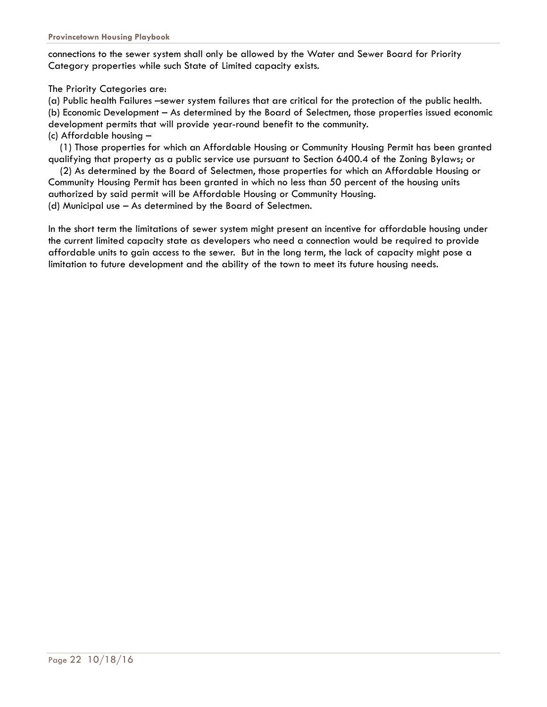connections to the sewer system shall only be allowed by the Water and Sewer Board for Priority Category properties while such State of Limited capacity exists.

The Priority Categories are:

(a) Public health Failures –sewer system failures that are critical for the protection of the public health. (b) Economic Development – As determined by the Board of Selectmen, those properties issued economic development permits that will provide year-round benefit to the community. (c) Affordable housing –

 (1) Those properties for which an Affordable Housing or Community Housing Permit has been granted qualifying that property as a public service use pursuant to Section 6400.4 of the Zoning Bylaws; or

 (2) As determined by the Board of Selectmen, those properties for which an Affordable Housing or Community Housing Permit has been granted in which no less than 50 percent of the housing units authorized by said permit will be Affordable Housing or Community Housing. (d) Municipal use – As determined by the Board of Selectmen.

In the short term the limitations of sewer system might present an incentive for affordable housing under the current limited capacity state as developers who need a connection would be required to provide affordable units to gain access to the sewer. But in the long term, the lack of capacity might pose a limitation to future development and the ability of the town to meet its future housing needs.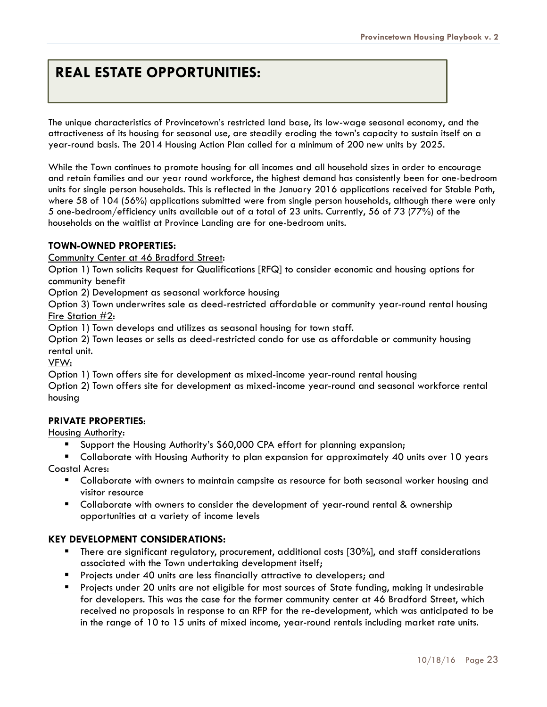### **REAL ESTATE OPPORTUNITIES:**

The unique characteristics of Provincetown's restricted land base, its low-wage seasonal economy, and the attractiveness of its housing for seasonal use, are steadily eroding the town's capacity to sustain itself on a year-round basis. The 2014 Housing Action Plan called for a minimum of 200 new units by 2025.

While the Town continues to promote housing for all incomes and all household sizes in order to encourage and retain families and our year round workforce, the highest demand has consistently been for one-bedroom units for single person households. This is reflected in the January 2016 applications received for Stable Path, where 58 of 104 (56%) applications submitted were from single person households, although there were only 5 one-bedroom/efficiency units available out of a total of 23 units. Currently, 56 of 73 (77%) of the households on the waitlist at Province Landing are for one-bedroom units.

### **TOWN-OWNED PROPERTIES:**

Community Center at 46 Bradford Street:

Option 1) Town solicits Request for Qualifications [RFQ] to consider economic and housing options for community benefit

Option 2) Development as seasonal workforce housing

Option 3) Town underwrites sale as deed-restricted affordable or community year-round rental housing Fire Station #2:

Option 1) Town develops and utilizes as seasonal housing for town staff.

Option 2) Town leases or sells as deed-restricted condo for use as affordable or community housing rental unit.

VFW:

Option 1) Town offers site for development as mixed-income year-round rental housing

Option 2) Town offers site for development as mixed-income year-round and seasonal workforce rental housing

### **PRIVATE PROPERTIES**:

### Housing Authority:

- Support the Housing Authority's \$60,000 CPA effort for planning expansion;
- Collaborate with Housing Authority to plan expansion for approximately 40 units over 10 years

Coastal Acres:

- **E** Collaborate with owners to maintain campsite as resource for both seasonal worker housing and visitor resource
- Collaborate with owners to consider the development of year-round rental & ownership opportunities at a variety of income levels

### **KEY DEVELOPMENT CONSIDERATIONS:**

- **There are significant regulatory, procurement, additional costs [30%], and staff considerations** associated with the Town undertaking development itself;
- Projects under 40 units are less financially attractive to developers; and
- Projects under 20 units are not eligible for most sources of State funding, making it undesirable for developers. This was the case for the former community center at 46 Bradford Street, which received no proposals in response to an RFP for the re-development, which was anticipated to be in the range of 10 to 15 units of mixed income, year-round rentals including market rate units.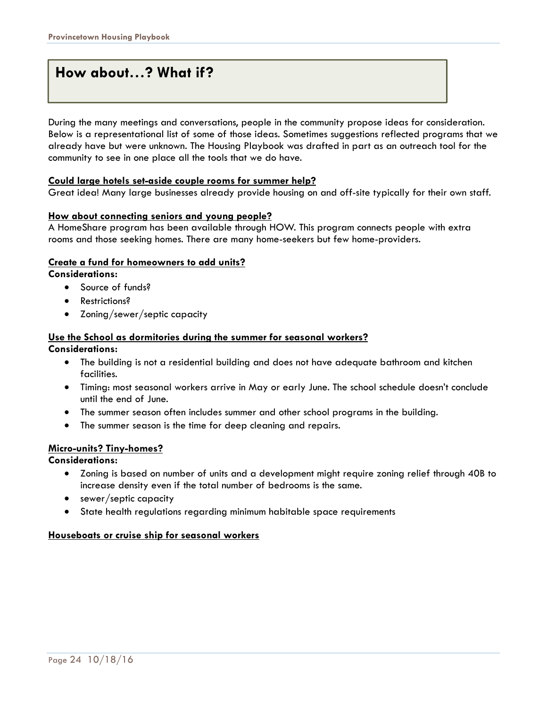### **How about…? What if?**

During the many meetings and conversations, people in the community propose ideas for consideration. Below is a representational list of some of those ideas. Sometimes suggestions reflected programs that we already have but were unknown. The Housing Playbook was drafted in part as an outreach tool for the community to see in one place all the tools that we do have.

### **Could large hotels set-aside couple rooms for summer help?**

Great idea! Many large businesses already provide housing on and off-site typically for their own staff.

### **How about connecting seniors and young people?**

A HomeShare program has been available through HOW. This program connects people with extra rooms and those seeking homes. There are many home-seekers but few home-providers.

### **Create a fund for homeowners to add units?**

**Considerations:** 

- Source of funds?
- Restrictions?
- Zoning/sewer/septic capacity

#### **Use the School as dormitories during the summer for seasonal workers? Considerations:**

- The building is not a residential building and does not have adequate bathroom and kitchen facilities.
- Timing: most seasonal workers arrive in May or early June. The school schedule doesn't conclude until the end of June.
- The summer season often includes summer and other school programs in the building.
- The summer season is the time for deep cleaning and repairs.

### **Micro-units? Tiny-homes?**

**Considerations:** 

- Zoning is based on number of units and a development might require zoning relief through 40B to increase density even if the total number of bedrooms is the same.
- sewer/septic capacity
- State health regulations regarding minimum habitable space requirements

### **Houseboats or cruise ship for seasonal workers**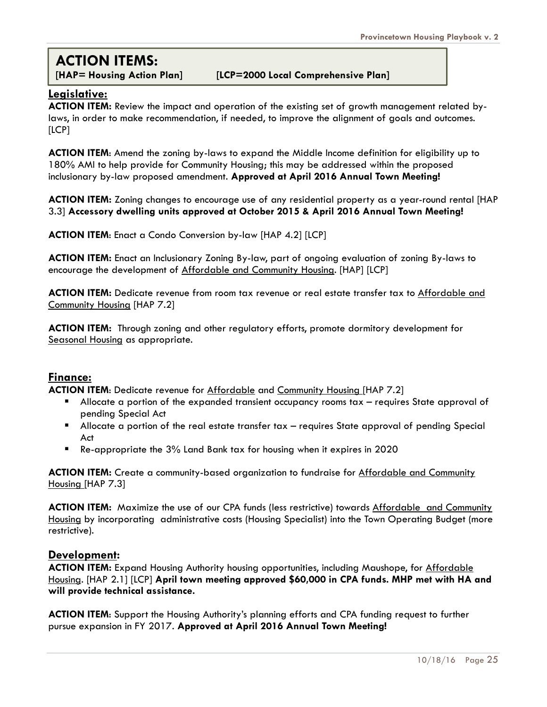### **ACTION ITEMS:**

#### **[HAP= Housing Action Plan] [LCP=2000 Local Comprehensive Plan]**

### **Legislative:**

**ACTION ITEM:** Review the impact and operation of the existing set of growth management related bylaws, in order to make recommendation, if needed, to improve the alignment of goals and outcomes. [LCP]

**ACTION ITEM**: Amend the zoning by-laws to expand the Middle Income definition for eligibility up to 180% AMI to help provide for Community Housing; this may be addressed within the proposed inclusionary by-law proposed amendment. **Approved at April 2016 Annual Town Meeting!** 

**ACTION ITEM:** Zoning changes to encourage use of any residential property as a year-round rental [HAP 3.3] **Accessory dwelling units approved at October 2015 & April 2016 Annual Town Meeting!** 

**ACTION ITEM**: Enact a Condo Conversion by-law [HAP 4.2] [LCP]

**ACTION ITEM:** Enact an Inclusionary Zoning By-law, part of ongoing evaluation of zoning By-laws to encourage the development of Affordable and Community Housing. [HAP] [LCP]

**ACTION ITEM:** Dedicate revenue from room tax revenue or real estate transfer tax to Affordable and Community Housing [HAP 7.2]

**ACTION ITEM:** Through zoning and other regulatory efforts, promote dormitory development for Seasonal Housing as appropriate.

### **Finance:**

**ACTION ITEM**: Dedicate revenue for Affordable and Community Housing [HAP 7.2]

- Allocate a portion of the expanded transient occupancy rooms tax requires State approval of pending Special Act
- Allocate a portion of the real estate transfer tax requires State approval of pending Special Act
- Re-appropriate the 3% Land Bank tax for housing when it expires in 2020

**ACTION ITEM:** Create a community-based organization to fundraise for Affordable and Community Housing [HAP 7.3]

**ACTION ITEM:** Maximize the use of our CPA funds (less restrictive) towards Affordable and Community Housing by incorporating administrative costs (Housing Specialist) into the Town Operating Budget (more restrictive).

### **Development:**

**ACTION ITEM:** Expand Housing Authority housing opportunities, including Maushope, for Affordable Housing. [HAP 2.1] [LCP] **April town meeting approved \$60,000 in CPA funds. MHP met with HA and will provide technical assistance.** 

**ACTION ITEM**: Support the Housing Authority's planning efforts and CPA funding request to further pursue expansion in FY 2017. **Approved at April 2016 Annual Town Meeting!**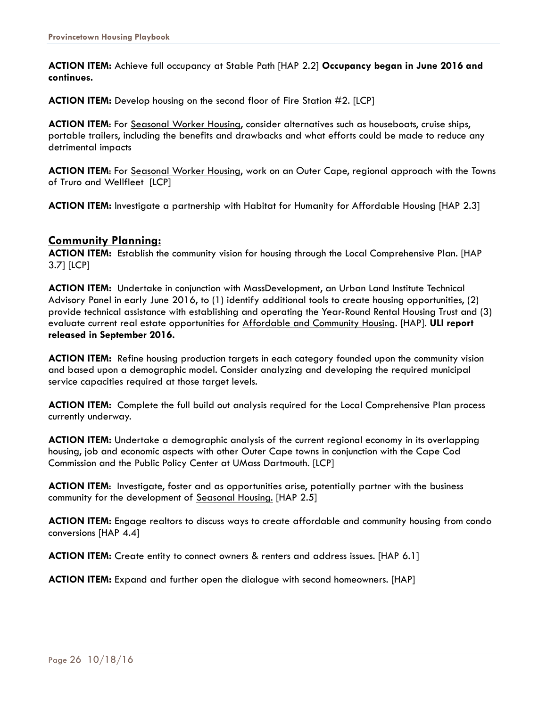**ACTION ITEM:** Achieve full occupancy at Stable Path [HAP 2.2] **Occupancy began in June 2016 and continues.** 

**ACTION ITEM:** Develop housing on the second floor of Fire Station #2. [LCP]

**ACTION ITEM**: For Seasonal Worker Housing, consider alternatives such as houseboats, cruise ships, portable trailers, including the benefits and drawbacks and what efforts could be made to reduce any detrimental impacts

**ACTION ITEM**: For Seasonal Worker Housing, work on an Outer Cape, regional approach with the Towns of Truro and Wellfleet [LCP]

**ACTION ITEM:** Investigate a partnership with Habitat for Humanity for Affordable Housing [HAP 2.3]

### **Community Planning:**

**ACTION ITEM:** Establish the community vision for housing through the Local Comprehensive Plan. [HAP 3.7] [LCP]

**ACTION ITEM:** Undertake in conjunction with MassDevelopment, an Urban Land Institute Technical Advisory Panel in early June 2016, to (1) identify additional tools to create housing opportunities, (2) provide technical assistance with establishing and operating the Year-Round Rental Housing Trust and (3) evaluate current real estate opportunities for Affordable and Community Housing. [HAP]. **ULI report released in September 2016.** 

**ACTION ITEM:** Refine housing production targets in each category founded upon the community vision and based upon a demographic model. Consider analyzing and developing the required municipal service capacities required at those target levels.

**ACTION ITEM:** Complete the full build out analysis required for the Local Comprehensive Plan process currently underway.

**ACTION ITEM:** Undertake a demographic analysis of the current regional economy in its overlapping housing, job and economic aspects with other Outer Cape towns in conjunction with the Cape Cod Commission and the Public Policy Center at UMass Dartmouth. [LCP]

**ACTION ITEM**: Investigate, foster and as opportunities arise, potentially partner with the business community for the development of Seasonal Housing. [HAP 2.5]

**ACTION ITEM:** Engage realtors to discuss ways to create affordable and community housing from condo conversions [HAP 4.4]

**ACTION ITEM:** Create entity to connect owners & renters and address issues. [HAP 6.1]

**ACTION ITEM:** Expand and further open the dialogue with second homeowners. [HAP]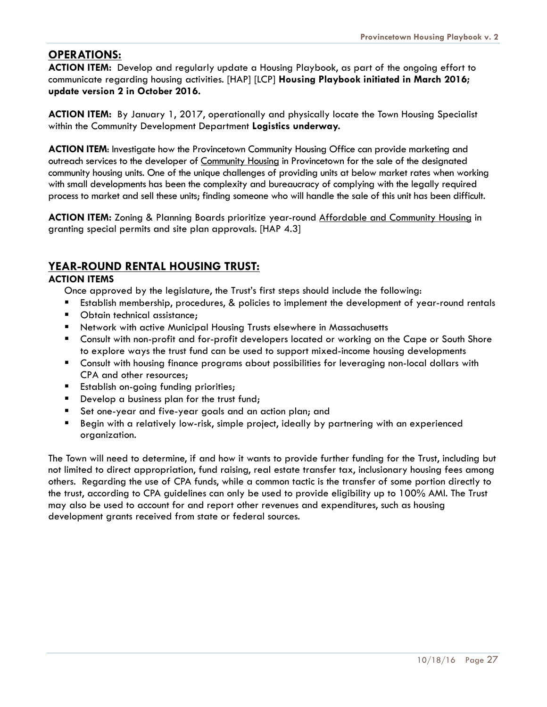### **OPERATIONS:**

**ACTION ITEM:** Develop and regularly update a Housing Playbook, as part of the ongoing effort to communicate regarding housing activities. [HAP] [LCP] **Housing Playbook initiated in March 2016; update version 2 in October 2016.** 

**ACTION ITEM:** By January 1, 2017, operationally and physically locate the Town Housing Specialist within the Community Development Department **Logistics underway.** 

**ACTION ITEM**: Investigate how the Provincetown Community Housing Office can provide marketing and outreach services to the developer of Community Housing in Provincetown for the sale of the designated community housing units. One of the unique challenges of providing units at below market rates when working with small developments has been the complexity and bureaucracy of complying with the legally required process to market and sell these units; finding someone who will handle the sale of this unit has been difficult.

**ACTION ITEM:** Zoning & Planning Boards prioritize year-round Affordable and Community Housing in granting special permits and site plan approvals. [HAP 4.3]

### **YEAR-ROUND RENTAL HOUSING TRUST:**

### **ACTION ITEMS**

Once approved by the legislature, the Trust's first steps should include the following:

- Establish membership, procedures, & policies to implement the development of year-round rentals
- **Dianager 1** Obtain technical assistance:
- Network with active Municipal Housing Trusts elsewhere in Massachusetts
- Consult with non-profit and for-profit developers located or working on the Cape or South Shore to explore ways the trust fund can be used to support mixed-income housing developments
- Consult with housing finance programs about possibilities for leveraging non-local dollars with CPA and other resources;
- **Establish on-going funding priorities;**
- Develop a business plan for the trust fund;
- Set one-year and five-year goals and an action plan; and
- Begin with a relatively low-risk, simple project, ideally by partnering with an experienced organization.

The Town will need to determine, if and how it wants to provide further funding for the Trust, including but not limited to direct appropriation, fund raising, real estate transfer tax, inclusionary housing fees among others. Regarding the use of CPA funds, while a common tactic is the transfer of some portion directly to the trust, according to CPA guidelines can only be used to provide eligibility up to 100% AMI. The Trust may also be used to account for and report other revenues and expenditures, such as housing development grants received from state or federal sources.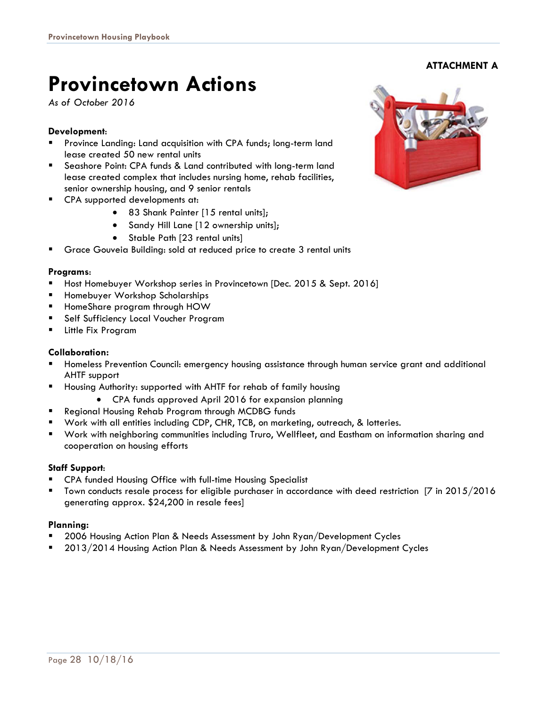## **Provincetown Actions**

*As of October 2016* 

### **Development**:

- Province Landing: Land acquisition with CPA funds; long-term land lease created 50 new rental units
- Seashore Point: CPA funds & Land contributed with long-term land lease created complex that includes nursing home, rehab facilities, senior ownership housing, and 9 senior rentals
- **EXECTA** supported developments at:
	- 83 Shank Painter [15 rental units];
	- Sandy Hill Lane [12 ownership units];
	- Stable Path [23 rental units]
- Grace Gouveia Building: sold at reduced price to create 3 rental units

### **Programs**:

- Host Homebuyer Workshop series in Provincetown [Dec. 2015 & Sept. 2016]
- Homebuyer Workshop Scholarships
- HomeShare program through HOW
- **Self Sufficiency Local Voucher Program**
- Little Fix Program

### **Collaboration:**

- Homeless Prevention Council: emergency housing assistance through human service grant and additional AHTF support
- Housing Authority: supported with AHTF for rehab of family housing
	- CPA funds approved April 2016 for expansion planning
- Regional Housing Rehab Program through MCDBG funds
- Work with all entities including CDP, CHR, TCB, on marketing, outreach, & lotteries.
- Work with neighboring communities including Truro, Wellfleet, and Eastham on information sharing and cooperation on housing efforts

### **Staff Support**:

- CPA funded Housing Office with full-time Housing Specialist
- Town conducts resale process for eligible purchaser in accordance with deed restriction [7 in 2015/2016 generating approx. \$24,200 in resale fees]

### **Planning:**

- 2006 Housing Action Plan & Needs Assessment by John Ryan/Development Cycles
- 2013/2014 Housing Action Plan & Needs Assessment by John Ryan/Development Cycles



**ATTACHMENT A**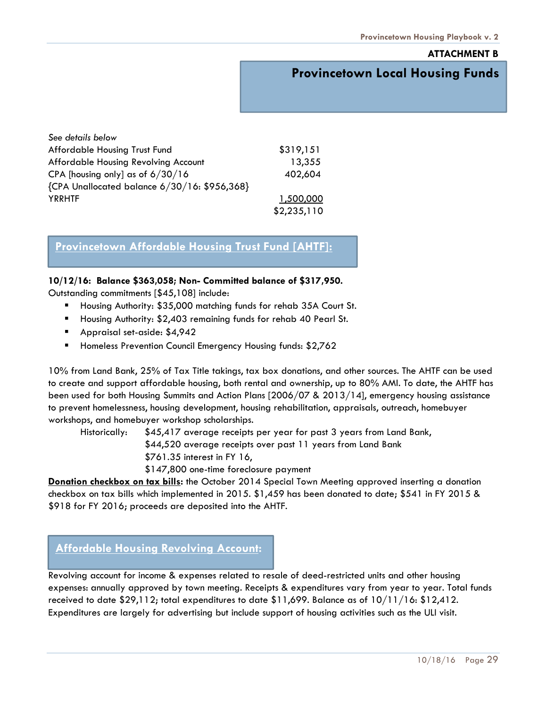### **ATTACHMENT B**

### *Provincetown Housing Funds* **Provincetown Local Housing Funds**

| See details below                            |             |
|----------------------------------------------|-------------|
| Affordable Housing Trust Fund                | \$319,151   |
| Affordable Housing Revolving Account         | 13,355      |
| CPA [housing only] as of $6/30/16$           | 402,604     |
| {CPA Unallocated balance 6/30/16: \$956,368} |             |
| <b>YRRHTF</b>                                | 1,500,000   |
|                                              | \$2,235,110 |

### **Provincetown Affordable Housing Trust Fund [AHTF]:**

#### **10/12/16: Balance \$363,058; Non- Committed balance of \$317,950.**

Outstanding commitments [\$45,108] include:

- Housing Authority: \$35,000 matching funds for rehab 35A Court St.
- Housing Authority: \$2,403 remaining funds for rehab 40 Pearl St.
- **Appraisal set-aside: \$4,942**
- **Homeless Prevention Council Emergency Housing funds: \$2,762**

10% from Land Bank, 25% of Tax Title takings, tax box donations, and other sources. The AHTF can be used to create and support affordable housing, both rental and ownership, up to 80% AMI. To date, the AHTF has been used for both Housing Summits and Action Plans [2006/07 & 2013/14], emergency housing assistance to prevent homelessness, housing development, housing rehabilitation, appraisals, outreach, homebuyer workshops, and homebuyer workshop scholarships.

Historically: \$45,417 average receipts per year for past 3 years from Land Bank, \$44,520 average receipts over past 11 years from Land Bank \$761.35 interest in FY 16, \$147,800 one-time foreclosure payment

**Donation checkbox on tax bills:** the October 2014 Special Town Meeting approved inserting a donation checkbox on tax bills which implemented in 2015. \$1,459 has been donated to date; \$541 in FY 2015 & \$918 for FY 2016; proceeds are deposited into the AHTF.

### **Affordable Housing Revolving Account:**

Revolving account for income & expenses related to resale of deed-restricted units and other housing expenses: annually approved by town meeting. Receipts & expenditures vary from year to year. Total funds received to date \$29,112; total expenditures to date \$11,699. Balance as of 10/11/16: \$12,412. Expenditures are largely for advertising but include support of housing activities such as the ULI visit.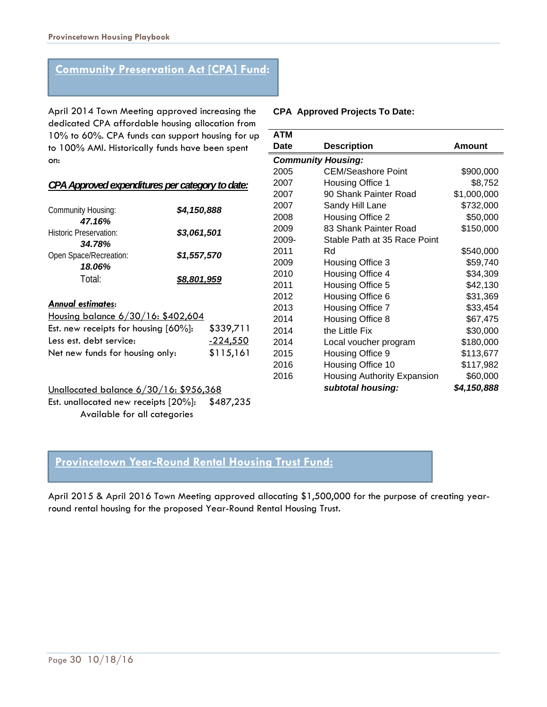### **Community Preservation Act [CPA] Fund:**

April 2014 Town Meeting approved increasing the dedicated CPA affordable housing allocation from 10% to 60%. CPA funds can support housing for up to 100% AMI. Historically funds have been spent on:

### *CPA Approved expenditures per category to date:*

| <b>Community Housing:</b><br>47.16%      | \$4,150,888 |           |
|------------------------------------------|-------------|-----------|
| Historic Preservation:<br>34.78%         | \$3,061,501 |           |
| Open Space/Recreation:                   | \$1,557,570 |           |
| 18.06%                                   |             |           |
| Total:                                   | \$8,801,959 |           |
| <b>Annual estimates:</b>                 |             |           |
| Housing balance 6/30/16: \$402,604       |             |           |
| Est. new receipts for housing $[60\%]$ : |             | \$339,711 |
| Less est. debt service:                  | $-224,550$  |           |
| Net new funds for housing only:          |             | \$115,161 |

### Unallocated balance 6/30/16: \$956,368 Est. unallocated new receipts [20%]: \$487,235 Available for all categories

#### **CPA Approved Projects To Date:**

| <b>ATM</b> |                              |             |  |  |  |  |  |
|------------|------------------------------|-------------|--|--|--|--|--|
| Date       | <b>Description</b>           | Amount      |  |  |  |  |  |
|            | <b>Community Housing:</b>    |             |  |  |  |  |  |
| 2005       | <b>CEM/Seashore Point</b>    | \$900,000   |  |  |  |  |  |
| 2007       | Housing Office 1             | \$8,752     |  |  |  |  |  |
| 2007       | 90 Shank Painter Road        | \$1,000,000 |  |  |  |  |  |
| 2007       | Sandy Hill Lane              | \$732,000   |  |  |  |  |  |
| 2008       | Housing Office 2             | \$50,000    |  |  |  |  |  |
| 2009       | 83 Shank Painter Road        | \$150,000   |  |  |  |  |  |
| 2009-      | Stable Path at 35 Race Point |             |  |  |  |  |  |
| 2011       | Rd                           | \$540,000   |  |  |  |  |  |
| 2009       | Housing Office 3             | \$59,740    |  |  |  |  |  |
| 2010       | Housing Office 4             | \$34,309    |  |  |  |  |  |
| 2011       | Housing Office 5             | \$42,130    |  |  |  |  |  |
| 2012       | Housing Office 6             | \$31,369    |  |  |  |  |  |
| 2013       | Housing Office 7             | \$33,454    |  |  |  |  |  |
| 2014       | Housing Office 8             | \$67,475    |  |  |  |  |  |
| 2014       | the Little Fix               | \$30,000    |  |  |  |  |  |
| 2014       | Local voucher program        | \$180,000   |  |  |  |  |  |
| 2015       | Housing Office 9             | \$113,677   |  |  |  |  |  |
| 2016       | Housing Office 10            | \$117,982   |  |  |  |  |  |
| 2016       | Housing Authority Expansion  | \$60,000    |  |  |  |  |  |
|            | subtotal housing:            | \$4,150,888 |  |  |  |  |  |

### **Provincetown Year-Round Rental Housing Trust Fund:**

April 2015 & April 2016 Town Meeting approved allocating \$1,500,000 for the purpose of creating yearround rental housing for the proposed Year-Round Rental Housing Trust.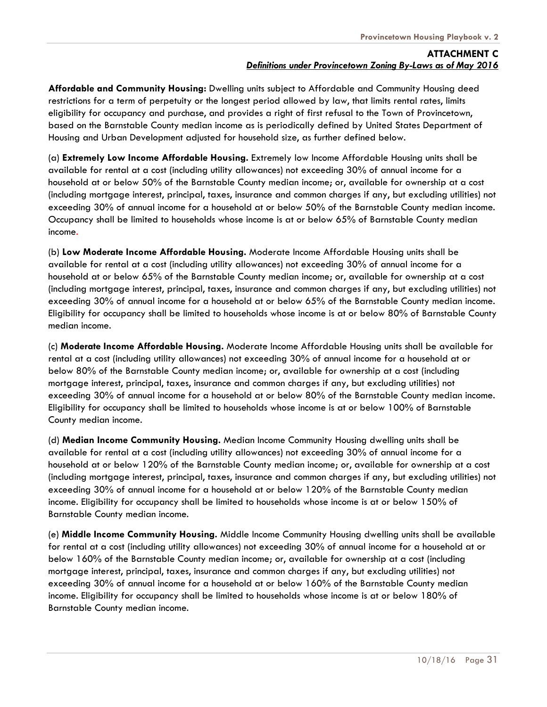**Affordable and Community Housing:** Dwelling units subject to Affordable and Community Housing deed restrictions for a term of perpetuity or the longest period allowed by law, that limits rental rates, limits eligibility for occupancy and purchase, and provides a right of first refusal to the Town of Provincetown, based on the Barnstable County median income as is periodically defined by United States Department of Housing and Urban Development adjusted for household size, as further defined below.

(a) **Extremely Low Income Affordable Housing.** Extremely low Income Affordable Housing units shall be available for rental at a cost (including utility allowances) not exceeding 30% of annual income for a household at or below 50% of the Barnstable County median income; or, available for ownership at a cost (including mortgage interest, principal, taxes, insurance and common charges if any, but excluding utilities) not exceeding 30% of annual income for a household at or below 50% of the Barnstable County median income. Occupancy shall be limited to households whose income is at or below 65% of Barnstable County median income.

(b) **Low Moderate Income Affordable Housing.** Moderate Income Affordable Housing units shall be available for rental at a cost (including utility allowances) not exceeding 30% of annual income for a household at or below 65% of the Barnstable County median income; or, available for ownership at a cost (including mortgage interest, principal, taxes, insurance and common charges if any, but excluding utilities) not exceeding 30% of annual income for a household at or below 65% of the Barnstable County median income. Eligibility for occupancy shall be limited to households whose income is at or below 80% of Barnstable County median income.

(c) **Moderate Income Affordable Housing.** Moderate Income Affordable Housing units shall be available for rental at a cost (including utility allowances) not exceeding 30% of annual income for a household at or below 80% of the Barnstable County median income; or, available for ownership at a cost (including mortgage interest, principal, taxes, insurance and common charges if any, but excluding utilities) not exceeding 30% of annual income for a household at or below 80% of the Barnstable County median income. Eligibility for occupancy shall be limited to households whose income is at or below 100% of Barnstable County median income.

(d) **Median Income Community Housing.** Median Income Community Housing dwelling units shall be available for rental at a cost (including utility allowances) not exceeding 30% of annual income for a household at or below 120% of the Barnstable County median income; or, available for ownership at a cost (including mortgage interest, principal, taxes, insurance and common charges if any, but excluding utilities) not exceeding 30% of annual income for a household at or below 120% of the Barnstable County median income. Eligibility for occupancy shall be limited to households whose income is at or below 150% of Barnstable County median income.

(e) **Middle Income Community Housing.** Middle Income Community Housing dwelling units shall be available for rental at a cost (including utility allowances) not exceeding 30% of annual income for a household at or below 160% of the Barnstable County median income; or, available for ownership at a cost (including mortgage interest, principal, taxes, insurance and common charges if any, but excluding utilities) not exceeding 30% of annual income for a household at or below 160% of the Barnstable County median income. Eligibility for occupancy shall be limited to households whose income is at or below 180% of Barnstable County median income.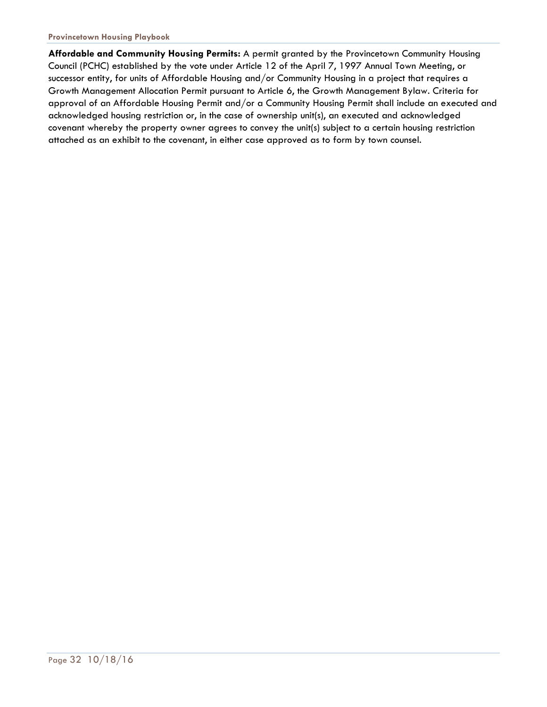**Affordable and Community Housing Permits:** A permit granted by the Provincetown Community Housing Council (PCHC) established by the vote under Article 12 of the April 7, 1997 Annual Town Meeting, or successor entity, for units of Affordable Housing and/or Community Housing in a project that requires a Growth Management Allocation Permit pursuant to Article 6, the Growth Management Bylaw. Criteria for approval of an Affordable Housing Permit and/or a Community Housing Permit shall include an executed and acknowledged housing restriction or, in the case of ownership unit(s), an executed and acknowledged covenant whereby the property owner agrees to convey the unit(s) subject to a certain housing restriction attached as an exhibit to the covenant, in either case approved as to form by town counsel.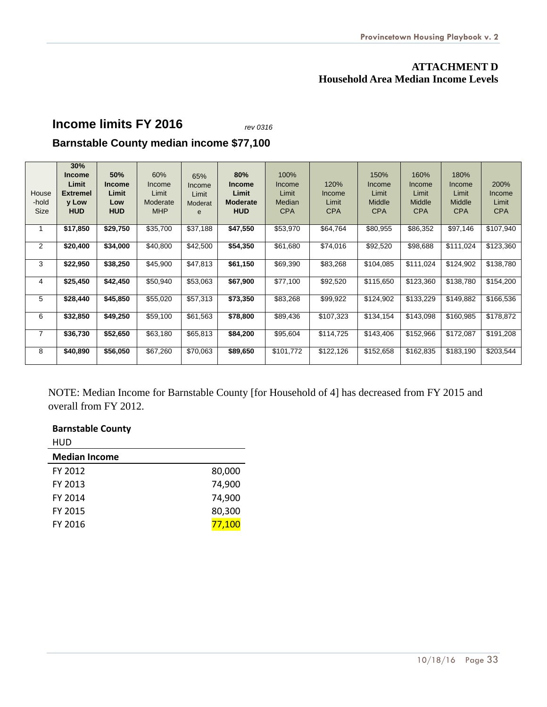### **ATTACHMENT D Household Area Median Income Levels**

## **Income limits FY 2016** *rev 0316*

### **Barnstable County median income \$77,100**

| House<br>-hold<br>Size | 30%<br><b>Income</b><br>Limit<br><b>Extremel</b><br>y Low<br><b>HUD</b> | 50%<br><b>Income</b><br>Limit<br>Low<br><b>HUD</b> | 60%<br>Income<br>Limit<br>Moderate<br><b>MHP</b> | 65%<br>Income<br>Limit<br>Moderat<br>e | 80%<br><b>Income</b><br>Limit<br><b>Moderate</b><br><b>HUD</b> | 100%<br>Income<br>Limit<br><b>Median</b><br><b>CPA</b> | 120%<br>Income<br>Limit<br><b>CPA</b> | 150%<br>Income<br>Limit<br>Middle<br><b>CPA</b> | 160%<br>Income<br>Limit<br>Middle<br><b>CPA</b> | 180%<br>Income<br>Limit<br><b>Middle</b><br><b>CPA</b> | 200%<br>Income<br>Limit<br><b>CPA</b> |
|------------------------|-------------------------------------------------------------------------|----------------------------------------------------|--------------------------------------------------|----------------------------------------|----------------------------------------------------------------|--------------------------------------------------------|---------------------------------------|-------------------------------------------------|-------------------------------------------------|--------------------------------------------------------|---------------------------------------|
| 1                      | \$17,850                                                                | \$29,750                                           | \$35,700                                         | \$37,188                               | \$47,550                                                       | \$53,970                                               | \$64,764                              | \$80,955                                        | \$86,352                                        | \$97,146                                               | \$107,940                             |
| $\overline{2}$         | \$20,400                                                                | \$34,000                                           | \$40,800                                         | \$42,500                               | \$54,350                                                       | \$61,680                                               | \$74,016                              | \$92,520                                        | \$98,688                                        | \$111,024                                              | \$123,360                             |
| 3                      | \$22,950                                                                | \$38,250                                           | \$45,900                                         | \$47,813                               | \$61,150                                                       | \$69,390                                               | \$83,268                              | \$104,085                                       | \$111,024                                       | \$124,902                                              | \$138,780                             |
| 4                      | \$25,450                                                                | \$42,450                                           | \$50,940                                         | \$53,063                               | \$67,900                                                       | \$77,100                                               | \$92,520                              | \$115,650                                       | \$123,360                                       | \$138,780                                              | \$154,200                             |
| 5                      | \$28,440                                                                | \$45,850                                           | \$55,020                                         | \$57,313                               | \$73,350                                                       | \$83,268                                               | \$99,922                              | \$124,902                                       | \$133,229                                       | \$149,882                                              | \$166,536                             |
| 6                      | \$32,850                                                                | \$49,250                                           | \$59,100                                         | \$61,563                               | \$78,800                                                       | \$89,436                                               | \$107,323                             | \$134,154                                       | \$143,098                                       | \$160,985                                              | \$178,872                             |
| $\overline{7}$         | \$36,730                                                                | \$52,650                                           | \$63,180                                         | \$65,813                               | \$84,200                                                       | \$95,604                                               | \$114,725                             | \$143,406                                       | \$152,966                                       | \$172,087                                              | \$191,208                             |
| 8                      | \$40,890                                                                | \$56,050                                           | \$67,260                                         | \$70,063                               | \$89,650                                                       | \$101,772                                              | \$122,126                             | \$152,658                                       | \$162,835                                       | \$183,190                                              | \$203,544                             |

NOTE: Median Income for Barnstable County [for Household of 4] has decreased from FY 2015 and overall from FY 2012.

### **Barnstable County**

| HUD                  |        |
|----------------------|--------|
| <b>Median Income</b> |        |
| FY 2012              | 80,000 |
| FY 2013              | 74,900 |
| FY 2014              | 74,900 |
| FY 2015              | 80,300 |
| FY 2016              | 77,100 |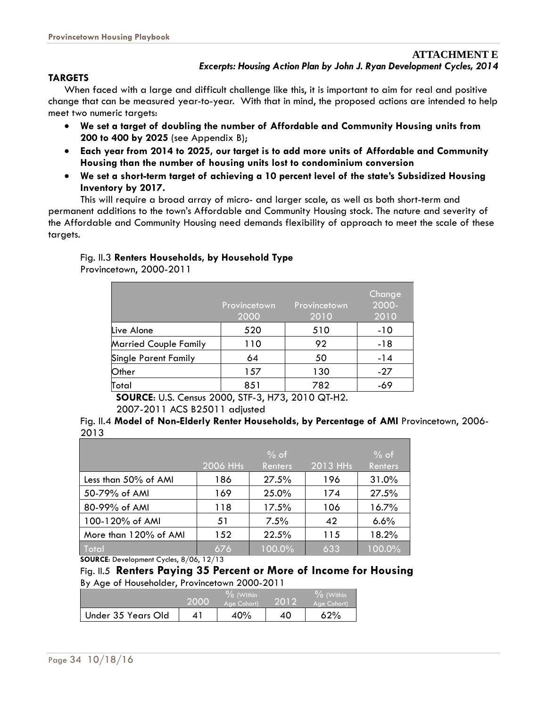### **TARGETS**

When faced with a large and difficult challenge like this, it is important to aim for real and positive change that can be measured year-to-year. With that in mind, the proposed actions are intended to help meet two numeric targets:

- **We set a target of doubling the number of Affordable and Community Housing units from 200 to 400 by 2025** (see Appendix B);
- **Each year from 2014 to 2025, our target is to add more units of Affordable and Community Housing than the number of housing units lost to condominium conversion**
- **We set a short-term target of achieving a 10 percent level of the state's Subsidized Housing Inventory by 2017.**

 This will require a broad array of micro- and larger scale, as well as both short-term and permanent additions to the town's Affordable and Community Housing stock. The nature and severity of the Affordable and Community Housing need demands flexibility of approach to meet the scale of these targets.

### Fig. II.3 **Renters Households, by Household Type**

Provincetown, 2000-2011

|                              | Provincetown<br>2000 | Provincetown<br>2010 | Change<br>2000-<br>2010 |
|------------------------------|----------------------|----------------------|-------------------------|
| Live Alone                   | 520                  | 510                  | $-10$                   |
| <b>Married Couple Family</b> | 110                  | 92                   | -18                     |
| <b>Single Parent Family</b>  | 64                   | 50                   | $-14$                   |
| Other                        | 157                  | 130                  | $-27$                   |
| Total                        | 851                  | 782                  | -69                     |

**SOURCE**: U.S. Census 2000, STF-3, H73, 2010 QT-H2.

2007-2011 ACS B25011 adjusted

Fig. II.4 **Model of Non-Elderly Renter Households, by Percentage of AMI** Provincetown, 2006- 2013

|                       |          | $%$ of  |          | $%$ of  |
|-----------------------|----------|---------|----------|---------|
|                       | 2006 HHs | Renters | 2013 HHs | Renters |
| Less than 50% of AMI  | 186      | 27.5%   | 196      | 31.0%   |
| 50-79% of AMI         | 169      | 25.0%   | 174      | 27.5%   |
| 80-99% of AMI         | 118      | 17.5%   | 106      | 16.7%   |
| 100-120% of AMI       | 51       | 7.5%    | 42       | 6.6%    |
| More than 120% of AMI | 152      | 22.5%   | 115      | 18.2%   |
| Total                 | 676      | 100.0%  | 633      | 100.0%  |

**SOURCE**: Development Cycles, 8/06, 12/13

Fig. II.5 **Renters Paying 35 Percent or More of Income for Housing**  By Age of Householder, Provincetown 2000-2011

|                    | 2000 | $\%$ (Within<br>Age Cohort) | 2012 | $\%$ (Within<br>Age Cohort) |
|--------------------|------|-----------------------------|------|-----------------------------|
| Under 35 Years Old |      | 40%                         | 40   | 62%                         |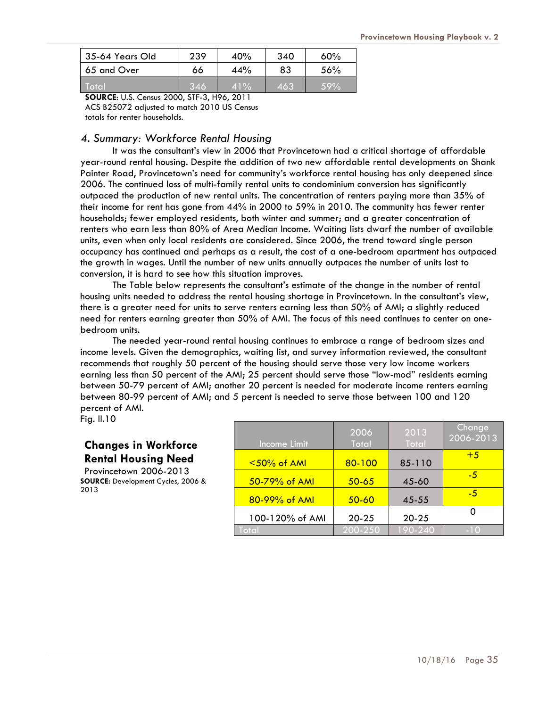| 35-64 Years Old | 239 | 40% | 340 | $60\%$  |
|-----------------|-----|-----|-----|---------|
| 65 and Over     | 66  | 44% | 83  | 56%     |
| ⊾Total'         | 346 | 41% | 463 | $.59\%$ |

**SOURCE**: U.S. Census 2000, STF-3, H96, 2011 ACS B25072 adjusted to match 2010 US Census totals for renter households.

### *4. Summary: Workforce Rental Housing*

It was the consultant's view in 2006 that Provincetown had a critical shortage of affordable year-round rental housing. Despite the addition of two new affordable rental developments on Shank Painter Road, Provincetown's need for community's workforce rental housing has only deepened since 2006. The continued loss of multi-family rental units to condominium conversion has significantly outpaced the production of new rental units. The concentration of renters paying more than 35% of their income for rent has gone from 44% in 2000 to 59% in 2010. The community has fewer renter households; fewer employed residents, both winter and summer; and a greater concentration of renters who earn less than 80% of Area Median Income. Waiting lists dwarf the number of available units, even when only local residents are considered. Since 2006, the trend toward single person occupancy has continued and perhaps as a result, the cost of a one-bedroom apartment has outpaced the growth in wages. Until the number of new units annually outpaces the number of units lost to conversion, it is hard to see how this situation improves.

The Table below represents the consultant's estimate of the change in the number of rental housing units needed to address the rental housing shortage in Provincetown. In the consultant's view, there is a greater need for units to serve renters earning less than 50% of AMI; a slightly reduced need for renters earning greater than 50% of AMI. The focus of this need continues to center on onebedroom units.

The needed year-round rental housing continues to embrace a range of bedroom sizes and income levels. Given the demographics, waiting list, and survey information reviewed, the consultant recommends that roughly 50 percent of the housing should serve those very low income workers earning less than 50 percent of the AMI; 25 percent should serve those "low-mod" residents earning between 50-79 percent of AMI; another 20 percent is needed for moderate income renters earning between 80-99 percent of AMI; and 5 percent is needed to serve those between 100 and 120 percent of AMI.

Fig. II.10

### **Changes in Workforce Rental Housing Need**

Provincetown 2006-2013 **SOURCE:** Development Cycles, 2006 & 2013

| Income Limit    | 2006<br>Total | 2013<br>Total | Change<br>2006-2013 |
|-----------------|---------------|---------------|---------------------|
| $<$ 50% of AMI  | $80 - 100$    | 85-110        | $+5$                |
| 50-79% of AMI   | $50 - 65$     | 45-60         | -5                  |
| 80-99% of AMI   | $50 - 60$     | $45 - 55$     | -5                  |
| 100-120% of AMI | $20 - 25$     | $20 - 25$     |                     |
| Total           | 200-250       | 190-240       | $-10$               |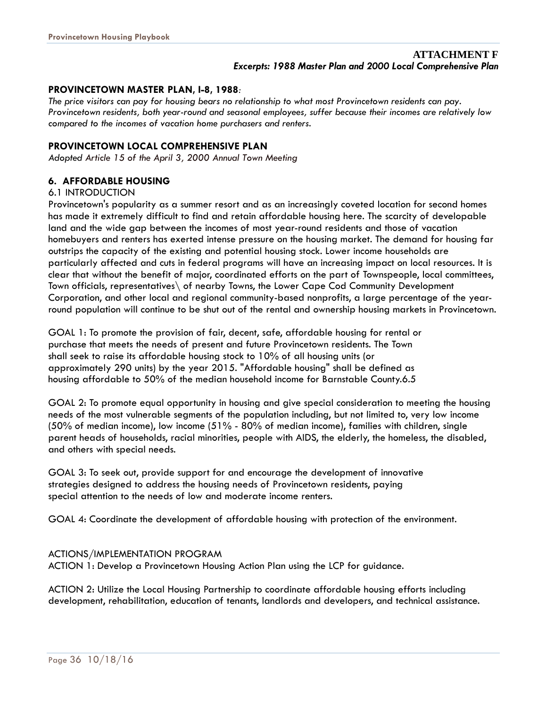### **PROVINCETOWN MASTER PLAN, I-8, 1988***:*

*The price visitors can pay for housing bears no relationship to what most Provincetown residents can pay. Provincetown residents, both year-round and seasonal employees, suffer because their incomes are relatively low compared to the incomes of vacation home purchasers and renters.* 

### **PROVINCETOWN LOCAL COMPREHENSIVE PLAN**

*Adopted Article 15 of the April 3, 2000 Annual Town Meeting*

### **6. AFFORDABLE HOUSING**

### 6.1 INTRODUCTION

Provincetown's popularity as a summer resort and as an increasingly coveted location for second homes has made it extremely difficult to find and retain affordable housing here. The scarcity of developable land and the wide gap between the incomes of most year-round residents and those of vacation homebuyers and renters has exerted intense pressure on the housing market. The demand for housing far outstrips the capacity of the existing and potential housing stock. Lower income households are particularly affected and cuts in federal programs will have an increasing impact on local resources. It is clear that without the benefit of major, coordinated efforts on the part of Townspeople, local committees, Town officials, representatives\ of nearby Towns, the Lower Cape Cod Community Development Corporation, and other local and regional community-based nonprofits, a large percentage of the yearround population will continue to be shut out of the rental and ownership housing markets in Provincetown.

GOAL 1: To promote the provision of fair, decent, safe, affordable housing for rental or purchase that meets the needs of present and future Provincetown residents. The Town shall seek to raise its affordable housing stock to 10% of all housing units (or approximately 290 units) by the year 2015. "Affordable housing" shall be defined as housing affordable to 50% of the median household income for Barnstable County.6.5

GOAL 2: To promote equal opportunity in housing and give special consideration to meeting the housing needs of the most vulnerable segments of the population including, but not limited to, very low income (50% of median income), low income (51% - 80% of median income), families with children, single parent heads of households, racial minorities, people with AIDS, the elderly, the homeless, the disabled, and others with special needs.

GOAL 3: To seek out, provide support for and encourage the development of innovative strategies designed to address the housing needs of Provincetown residents, paying special attention to the needs of low and moderate income renters.

GOAL 4: Coordinate the development of affordable housing with protection of the environment.

### ACTIONS/IMPLEMENTATION PROGRAM

ACTION 1: Develop a Provincetown Housing Action Plan using the LCP for guidance.

ACTION 2: Utilize the Local Housing Partnership to coordinate affordable housing efforts including development, rehabilitation, education of tenants, landlords and developers, and technical assistance.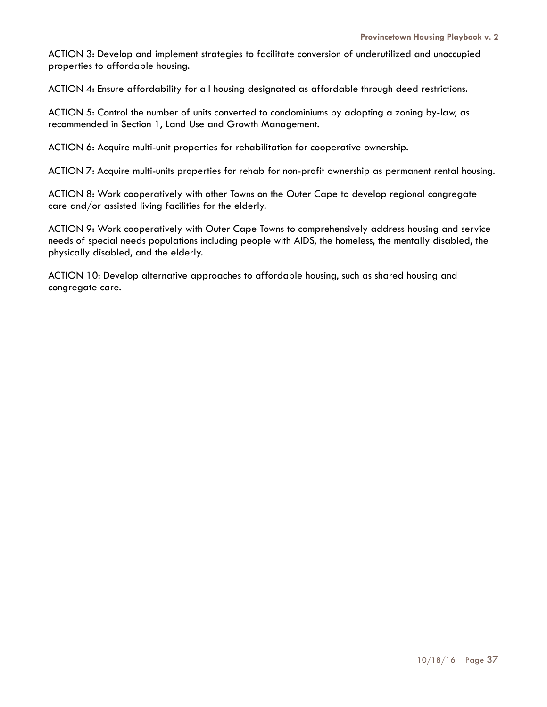ACTION 3: Develop and implement strategies to facilitate conversion of underutilized and unoccupied properties to affordable housing.

ACTION 4: Ensure affordability for all housing designated as affordable through deed restrictions.

ACTION 5: Control the number of units converted to condominiums by adopting a zoning by-law, as recommended in Section 1, Land Use and Growth Management.

ACTION 6: Acquire multi-unit properties for rehabilitation for cooperative ownership.

ACTION 7: Acquire multi-units properties for rehab for non-profit ownership as permanent rental housing.

ACTION 8: Work cooperatively with other Towns on the Outer Cape to develop regional congregate care and/or assisted living facilities for the elderly.

ACTION 9: Work cooperatively with Outer Cape Towns to comprehensively address housing and service needs of special needs populations including people with AIDS, the homeless, the mentally disabled, the physically disabled, and the elderly.

ACTION 10: Develop alternative approaches to affordable housing, such as shared housing and congregate care.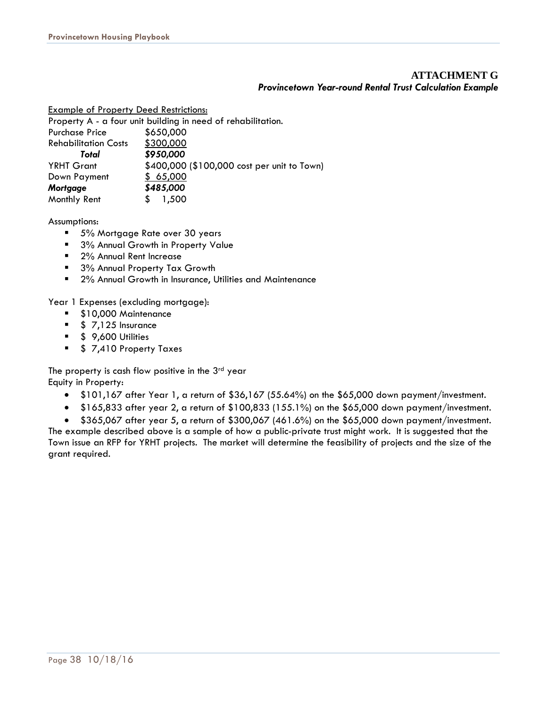### **ATTACHMENT G**  *Provincetown Year-round Rental Trust Calculation Example*

Example of Property Deed Restrictions:

Property A - a four unit building in need of rehabilitation. Purchase Price \$650,000 Rehabilitation Costs \$300,000 *Total \$950,000* YRHT Grant \$400,000 (\$100,000 cost per unit to Town) Down Payment \$ 65,000 *Mortgage \$485,000*  Monthly Rent  $$1,500$ 

Assumptions:

- 5% Mortgage Rate over 30 years
- 3% Annual Growth in Property Value
- 2% Annual Rent Increase
- 3% Annual Property Tax Growth
- 2% Annual Growth in Insurance, Utilities and Maintenance

Year 1 Expenses (excluding mortgage):

- \$10,000 Maintenance
- $\bullet$  \$ 7,125 Insurance
- $\bullet$  \$ 9,600 Utilities
- **5 7,410 Property Taxes**

The property is cash flow positive in the  $3<sup>rd</sup>$  year Equity in Property:

- \$101,167 after Year 1, a return of \$36,167 (55.64%) on the \$65,000 down payment/investment.
- $\bullet$  \$165,833 after year 2, a return of \$100,833 (155.1%) on the \$65,000 down payment/investment.
- $\bullet$  \$365,067 after year 5, a return of \$300,067 (461.6%) on the \$65,000 down payment/investment.

The example described above is a sample of how a public-private trust might work. It is suggested that the Town issue an RFP for YRHT projects. The market will determine the feasibility of projects and the size of the grant required.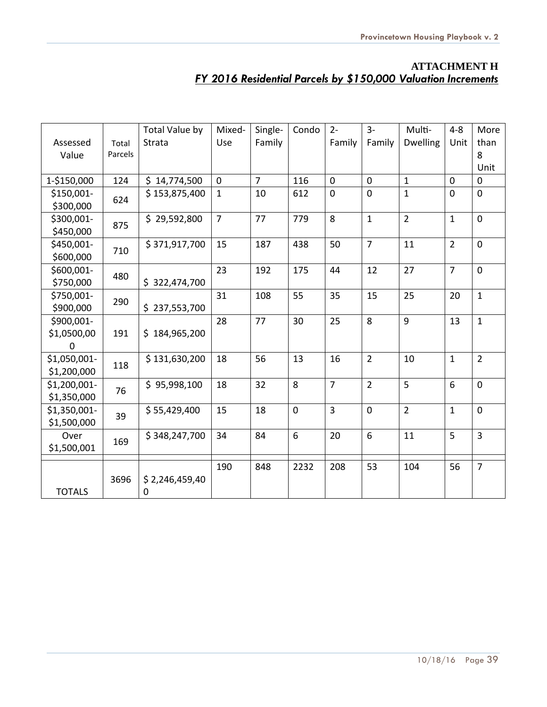### **ATTACHMENT H**  *FY 2016 Residential Parcels by \$150,000 Valuation Increments*

|                |         | Total Value by | Mixed-         | Single-        | Condo          | $2 -$          | $3-$            | Multi-          | $4 - 8$         | More           |
|----------------|---------|----------------|----------------|----------------|----------------|----------------|-----------------|-----------------|-----------------|----------------|
| Assessed       | Total   | Strata         | Use            | Family         |                | Family         | Family          | <b>Dwelling</b> | Unit            | than           |
| Value          | Parcels |                |                |                |                |                |                 |                 |                 | 8              |
|                |         |                |                |                |                |                |                 |                 |                 | Unit           |
| 1-\$150,000    | 124     | \$14,774,500   | $\overline{0}$ | $\overline{7}$ | 116            | $\overline{0}$ | $\Omega$        | $\mathbf{1}$    | $\overline{0}$  | $\overline{0}$ |
| \$150,001-     | 624     | \$153,875,400  | $\mathbf{1}$   | 10             | 612            | $\mathbf 0$    | $\Omega$        | $\mathbf{1}$    | $\mathbf 0$     | $\overline{0}$ |
| \$300,000      |         |                |                |                |                |                |                 |                 |                 |                |
| \$300,001-     | 875     | \$29,592,800   | $\overline{7}$ | 77             | 779            | 8              | $\mathbf{1}$    | $\overline{2}$  | $\mathbf{1}$    | $\overline{0}$ |
| \$450,000      |         |                |                |                |                |                |                 |                 |                 |                |
| \$450,001-     | 710     | \$371,917,700  | 15             | 187            | 438            | 50             | $\overline{7}$  | 11              | $\overline{2}$  | $\overline{0}$ |
| \$600,000      |         |                |                |                |                |                |                 |                 |                 |                |
| \$600,001-     | 480     |                | 23             | 192            | 175            | 44             | 12              | 27              | $\overline{7}$  | $\overline{0}$ |
| \$750,000      |         | \$322,474,700  |                |                |                |                |                 |                 |                 |                |
| \$750,001-     | 290     |                | 31             | 108            | 55             | 35             | 15              | 25              | 20              | $\mathbf{1}$   |
| \$900,000      |         | \$237,553,700  |                |                |                |                |                 |                 |                 |                |
| \$900,001-     |         |                | 28             | 77             | 30             | 25             | 8               | 9               | 13              | $\mathbf{1}$   |
| \$1,0500,00    | 191     | \$184,965,200  |                |                |                |                |                 |                 |                 |                |
| $\overline{0}$ |         |                |                |                |                |                |                 |                 |                 |                |
| \$1,050,001-   | 118     | \$131,630,200  | 18             | 56             | 13             | 16             | $\overline{2}$  | 10              | $\mathbf{1}$    | $\overline{2}$ |
| \$1,200,000    |         |                |                |                |                |                |                 |                 |                 |                |
| \$1,200,001-   | 76      | \$95,998,100   | 18             | 32             | 8              | $\overline{7}$ | $\overline{2}$  | 5               | $6\phantom{1}6$ | $\mathbf 0$    |
| \$1,350,000    |         |                |                |                |                |                |                 |                 |                 |                |
| \$1,350,001-   | 39      | \$55,429,400   | 15             | 18             | $\overline{0}$ | $\overline{3}$ | $\overline{0}$  | $\overline{2}$  | $\mathbf{1}$    | $\overline{0}$ |
| \$1,500,000    |         |                |                |                |                |                |                 |                 |                 |                |
| Over           | 169     | \$348,247,700  | 34             | 84             | 6              | 20             | $6\overline{6}$ | 11              | 5               | $\overline{3}$ |
| \$1,500,001    |         |                |                |                |                |                |                 |                 |                 |                |
|                |         |                | 190            | 848            | 2232           | 208            | 53              | 104             | 56              | $\overline{7}$ |
|                | 3696    | \$2,246,459,40 |                |                |                |                |                 |                 |                 |                |
| <b>TOTALS</b>  |         | $\mathbf 0$    |                |                |                |                |                 |                 |                 |                |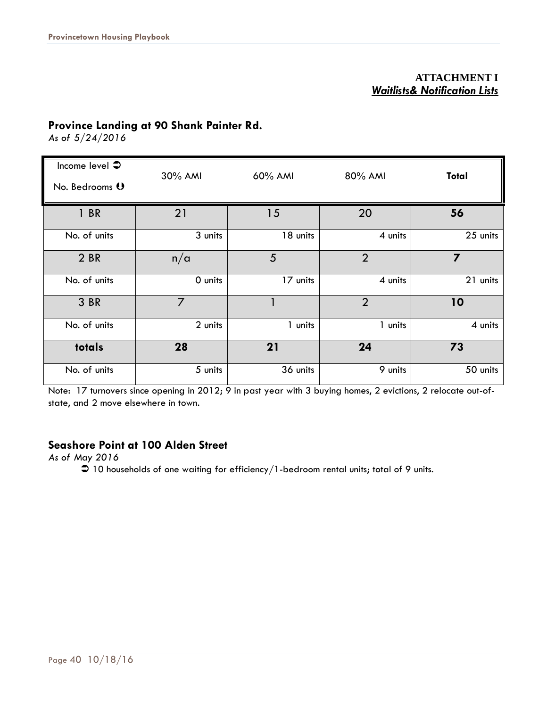### **ATTACHMENT I**  *Waitlists& Notification Lists*

### **Province Landing at 90 Shank Painter Rd.**

*As of 5/24/2016* 

| Income level $\clubsuit$ | 30% AMI        | 60% AMI  | 80% AMI        | Total          |  |
|--------------------------|----------------|----------|----------------|----------------|--|
| No. Bedrooms 0           |                |          |                |                |  |
| 1 BR                     | 21             | 15       | 20             | 56             |  |
| No. of units             | 3 units        | 18 units | 4 units        | 25 units       |  |
| 2 BR                     | n/a            | 5        | $\overline{2}$ | $\overline{7}$ |  |
| No. of units             | O units        | 17 units | 4 units        | 21 units       |  |
| 3 BR                     | $\overline{7}$ |          | $\overline{2}$ | 10             |  |
| No. of units             | 2 units        | 1 units  | 1 units        | 4 units        |  |
| totals                   | 28             | 21       | 24             | 73             |  |
| No. of units             | 5 units        | 36 units | 9 units        | 50 units       |  |

Note: 17 turnovers since opening in 2012; 9 in past year with 3 buying homes, 2 evictions, 2 relocate out-ofstate, and 2 move elsewhere in town.

### **Seashore Point at 100 Alden Street**

*As of May 2016* 

 $\supset$  10 households of one waiting for efficiency/1-bedroom rental units; total of 9 units.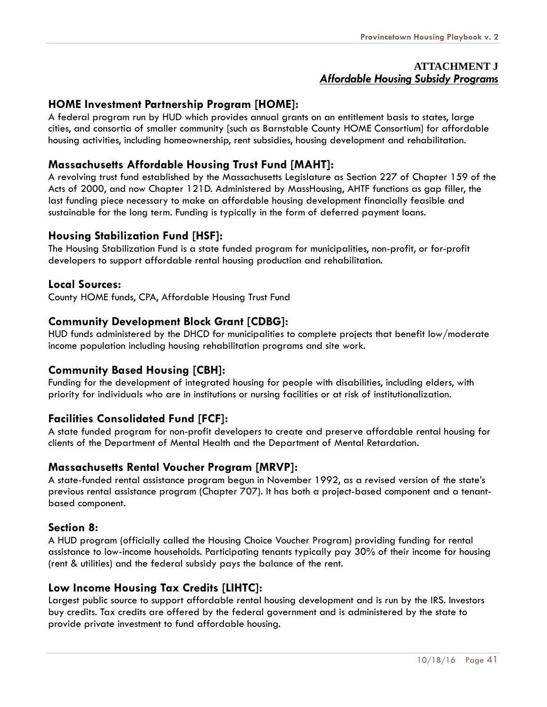### **ATTACHMENT J**  *Affordable Housing Subsidy Programs*

### **HOME Investment Partnership Program [HOME]:**

A federal program run by HUD which provides annual grants on an entitlement basis to states, large cities, and consortia of smaller community [such as Barnstable County HOME Consortium] for affordable housing activities, including homeownership, rent subsidies, housing development and rehabilitation.

### **Massachusetts Affordable Housing Trust Fund [MAHT]:**

A revolving trust fund established by the Massachusetts Legislature as Section 227 of Chapter 159 of the Acts of 2000, and now Chapter 121D. Administered by MassHousing, AHTF functions as gap filler, the last funding piece necessary to make an affordable housing development financially feasible and sustainable for the long term. Funding is typically in the form of deferred payment loans.

### **Housing Stabilization Fund [HSF]:**

The Housing Stabilization Fund is a state funded program for municipalities, non-profit, or for-profit developers to support affordable rental housing production and rehabilitation.

### **Local Sources:**

County HOME funds, CPA, Affordable Housing Trust Fund

### **Community Development Block Grant [CDBG]:**

HUD funds administered by the DHCD for municipalities to complete projects that benefit low/moderate income population including housing rehabilitation programs and site work.

### **Community Based Housing [CBH]:**

Funding for the development of integrated housing for people with disabilities, including elders, with priority for individuals who are in institutions or nursing facilities or at risk of institutionalization.

### **Facilities Consolidated Fund [FCF]:**

A state funded program for non-profit developers to create and preserve affordable rental housing for clients of the Department of Mental Health and the Department of Mental Retardation.

### **Massachusetts Rental Voucher Program [MRVP]:**

A state-funded rental assistance program begun in November 1992, as a revised version of the state's previous rental assistance program (Chapter 707). It has both a project-based component and a tenantbased component.

### **Section 8:**

A HUD program (officially called the Housing Choice Voucher Program) providing funding for rental assistance to low-income households. Participating tenants typically pay 30% of their income for housing (rent & utilities) and the federal subsidy pays the balance of the rent.

### **Low Income Housing Tax Credits [LIHTC]:**

Largest public source to support affordable rental housing development and is run by the IRS. Investors buy credits. Tax credits are offered by the federal government and is administered by the state to provide private investment to fund affordable housing.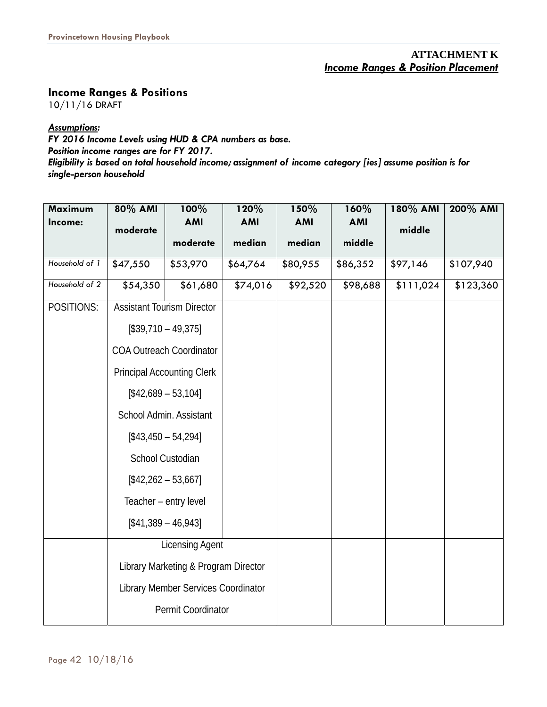### **ATTACHMENT K**  *Income Ranges & Position Placement*

**Income Ranges & Positions** 

10/11/16 DRAFT

### *Assumptions:*

*FY 2016 Income Levels using HUD & CPA numbers as base.* 

*Position income ranges are for FY 2017.* 

*Eligibility is based on total household income; assignment of income category [ies] assume position is for single-person household* 

| Maximum<br>Income: | 80% AMI<br>moderate               | 100%<br><b>AMI</b>                   | 120%<br><b>AMI</b> | 150%<br><b>AMI</b> | 160%<br><b>AMI</b> | 180% AMI<br>middle | 200% AMI  |
|--------------------|-----------------------------------|--------------------------------------|--------------------|--------------------|--------------------|--------------------|-----------|
|                    |                                   | moderate                             | median             | median             | middle             |                    |           |
| Household of 1     | \$47,550                          | \$53,970                             | \$64,764           | \$80,955           | \$86,352           | \$97,146           | \$107,940 |
| Household of 2     | \$54,350                          | \$61,680                             | $\sqrt{$74,016}$   | \$92,520           | \$98,688           | \$111,024          | \$123,360 |
| POSITIONS:         | <b>Assistant Tourism Director</b> |                                      |                    |                    |                    |                    |           |
|                    | $[$39,710 - 49,375]$              |                                      |                    |                    |                    |                    |           |
|                    | <b>COA Outreach Coordinator</b>   |                                      |                    |                    |                    |                    |           |
|                    |                                   | <b>Principal Accounting Clerk</b>    |                    |                    |                    |                    |           |
|                    | $[$42,689 - 53,104]$              |                                      |                    |                    |                    |                    |           |
|                    | School Admin. Assistant           |                                      |                    |                    |                    |                    |           |
|                    | $[$43,450 - 54,294]$              |                                      |                    |                    |                    |                    |           |
|                    | School Custodian                  |                                      |                    |                    |                    |                    |           |
|                    | $[$42,262 - 53,667]$              |                                      |                    |                    |                    |                    |           |
|                    |                                   | Teacher - entry level                |                    |                    |                    |                    |           |
|                    | $[$41,389 - 46,943]$              |                                      |                    |                    |                    |                    |           |
|                    |                                   | <b>Licensing Agent</b>               |                    |                    |                    |                    |           |
|                    |                                   | Library Marketing & Program Director |                    |                    |                    |                    |           |
|                    |                                   | Library Member Services Coordinator  |                    |                    |                    |                    |           |
|                    |                                   | Permit Coordinator                   |                    |                    |                    |                    |           |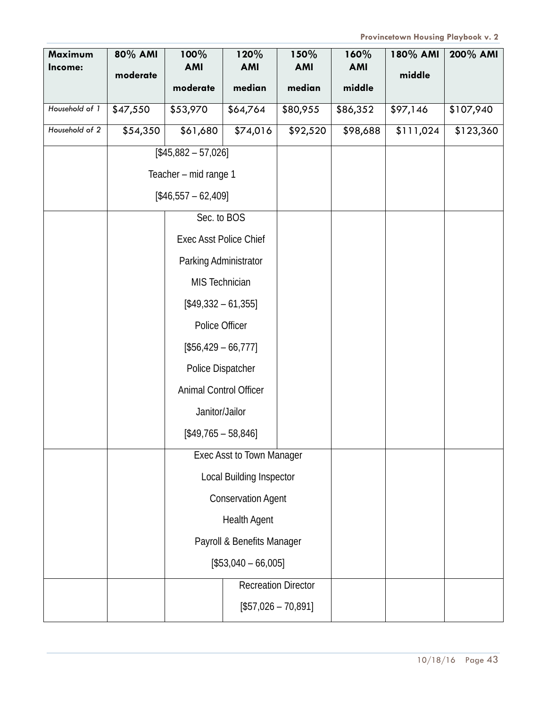| Maximum<br>Income: | 80% AMI<br>moderate | 100%<br><b>AMI</b>            | 120%<br><b>AMI</b>         | 150%<br><b>AMI</b>         | 160%<br><b>AMI</b> | 180% AMI<br>middle | 200% AMI  |
|--------------------|---------------------|-------------------------------|----------------------------|----------------------------|--------------------|--------------------|-----------|
|                    |                     | moderate                      | median                     | median                     | middle             |                    |           |
| Household of 1     | \$47,550            | \$53,970                      | \$64,764                   | \$80,955                   | \$86,352           | \$97,146           | \$107,940 |
| Household of 2     | \$54,350            | \$61,680                      | \$74,016                   | \$92,520                   | \$98,688           | \$111,024          | \$123,360 |
|                    |                     | $[$45,882 - 57,026]$          |                            |                            |                    |                    |           |
|                    |                     | Teacher - mid range 1         |                            |                            |                    |                    |           |
|                    |                     | $[$46,557 - 62,409]$          |                            |                            |                    |                    |           |
|                    |                     | Sec. to BOS                   |                            |                            |                    |                    |           |
|                    |                     | <b>Exec Asst Police Chief</b> |                            |                            |                    |                    |           |
|                    |                     | Parking Administrator         |                            |                            |                    |                    |           |
|                    |                     | MIS Technician                |                            |                            |                    |                    |           |
|                    |                     | $[$49,332 - 61,355]$          |                            |                            |                    |                    |           |
|                    |                     | Police Officer                |                            |                            |                    |                    |           |
|                    |                     | $[$56,429 - 66,777]$          |                            |                            |                    |                    |           |
|                    |                     | Police Dispatcher             |                            |                            |                    |                    |           |
|                    |                     | Animal Control Officer        |                            |                            |                    |                    |           |
|                    |                     | Janitor/Jailor                |                            |                            |                    |                    |           |
|                    |                     | $[$49,765 - 58,846]$          |                            |                            |                    |                    |           |
|                    |                     |                               | Exec Asst to Town Manager  |                            |                    |                    |           |
|                    |                     |                               | Local Building Inspector   |                            |                    |                    |           |
|                    |                     |                               | <b>Conservation Agent</b>  |                            |                    |                    |           |
|                    |                     |                               | <b>Health Agent</b>        |                            |                    |                    |           |
|                    |                     |                               | Payroll & Benefits Manager |                            |                    |                    |           |
|                    |                     |                               | $[$53,040 - 66,005]$       |                            |                    |                    |           |
|                    |                     |                               |                            | <b>Recreation Director</b> |                    |                    |           |
|                    |                     |                               |                            | $[$57,026 - 70,891]$       |                    |                    |           |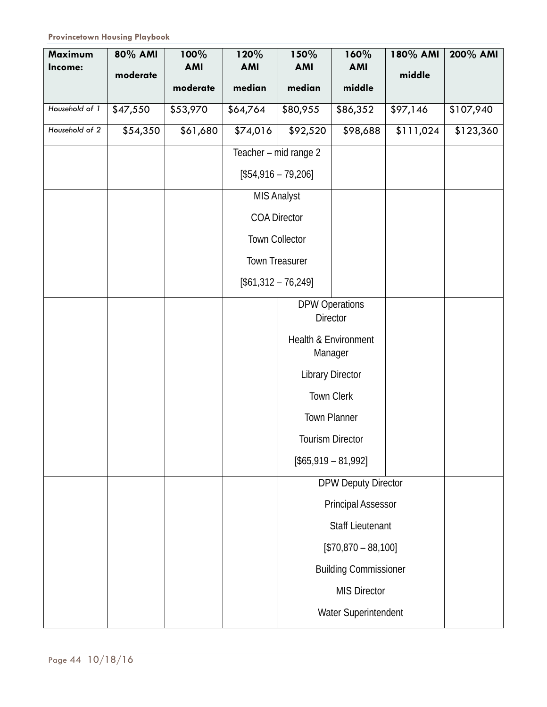| Maximum        | 80% AMI  | 100%                   | 120%                 | 150%                  | 160%                                       | 180% AMI  | 200% AMI  |
|----------------|----------|------------------------|----------------------|-----------------------|--------------------------------------------|-----------|-----------|
| Income:        | moderate | <b>AMI</b><br>moderate | <b>AMI</b><br>median | <b>AMI</b><br>median  | <b>AMI</b><br>middle                       | middle    |           |
|                |          |                        |                      |                       |                                            |           |           |
| Household of 1 | \$47,550 | \$53,970               | \$64,764             | \$80,955              | \$86,352                                   | \$97,146  | \$107,940 |
| Household of 2 | \$54,350 | \$61,680               | $\sqrt{574,016}$     | \$92,520              | \$98,688                                   | \$111,024 | \$123,360 |
|                |          |                        |                      | Teacher - mid range 2 |                                            |           |           |
|                |          |                        |                      | $[$54,916 - 79,206]$  |                                            |           |           |
|                |          |                        |                      | <b>MIS Analyst</b>    |                                            |           |           |
|                |          |                        |                      | <b>COA Director</b>   |                                            |           |           |
|                |          |                        |                      | <b>Town Collector</b> |                                            |           |           |
|                |          |                        |                      | <b>Town Treasurer</b> |                                            |           |           |
|                |          |                        |                      | $[$61,312 - 76,249]$  |                                            |           |           |
|                |          |                        |                      |                       | <b>DPW Operations</b>                      |           |           |
|                |          |                        |                      |                       | <b>Director</b>                            |           |           |
|                |          |                        |                      |                       | <b>Health &amp; Environment</b><br>Manager |           |           |
|                |          |                        |                      |                       | <b>Library Director</b>                    |           |           |
|                |          |                        |                      |                       | Town Clerk                                 |           |           |
|                |          |                        |                      |                       | <b>Town Planner</b>                        |           |           |
|                |          |                        |                      |                       | <b>Tourism Director</b>                    |           |           |
|                |          |                        |                      |                       | $[$65,919 - 81,992]$                       |           |           |
|                |          |                        |                      |                       | <b>DPW Deputy Director</b>                 |           |           |
|                |          |                        |                      |                       | <b>Principal Assessor</b>                  |           |           |
|                |          |                        |                      |                       | <b>Staff Lieutenant</b>                    |           |           |
|                |          |                        |                      |                       | $[$70,870 - 88,100]$                       |           |           |
|                |          |                        |                      |                       | <b>Building Commissioner</b>               |           |           |
|                |          |                        |                      |                       | <b>MIS Director</b>                        |           |           |
|                |          |                        |                      |                       | Water Superintendent                       |           |           |